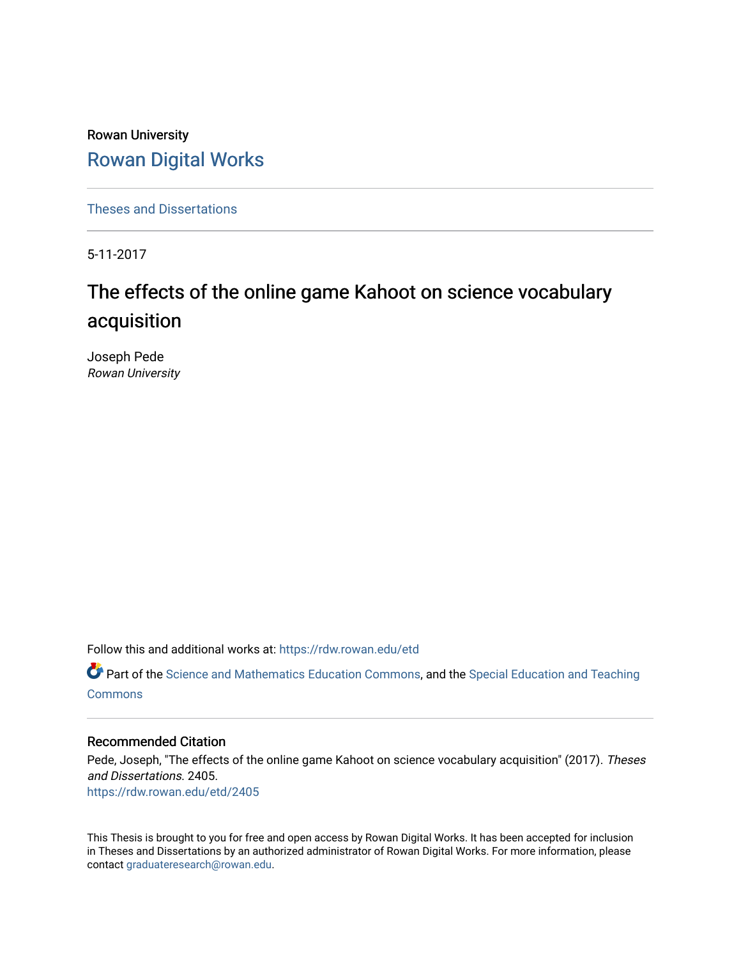Rowan University [Rowan Digital Works](https://rdw.rowan.edu/)

[Theses and Dissertations](https://rdw.rowan.edu/etd)

5-11-2017

# The effects of the online game Kahoot on science vocabulary acquisition

Joseph Pede Rowan University

Follow this and additional works at: [https://rdw.rowan.edu/etd](https://rdw.rowan.edu/etd?utm_source=rdw.rowan.edu%2Fetd%2F2405&utm_medium=PDF&utm_campaign=PDFCoverPages) 

**C** Part of the [Science and Mathematics Education Commons,](http://network.bepress.com/hgg/discipline/800?utm_source=rdw.rowan.edu%2Fetd%2F2405&utm_medium=PDF&utm_campaign=PDFCoverPages) and the Special Education and Teaching **[Commons](http://network.bepress.com/hgg/discipline/801?utm_source=rdw.rowan.edu%2Fetd%2F2405&utm_medium=PDF&utm_campaign=PDFCoverPages)** 

#### Recommended Citation

Pede, Joseph, "The effects of the online game Kahoot on science vocabulary acquisition" (2017). Theses and Dissertations. 2405. [https://rdw.rowan.edu/etd/2405](https://rdw.rowan.edu/etd/2405?utm_source=rdw.rowan.edu%2Fetd%2F2405&utm_medium=PDF&utm_campaign=PDFCoverPages)

This Thesis is brought to you for free and open access by Rowan Digital Works. It has been accepted for inclusion in Theses and Dissertations by an authorized administrator of Rowan Digital Works. For more information, please contact [graduateresearch@rowan.edu.](mailto:graduateresearch@rowan.edu)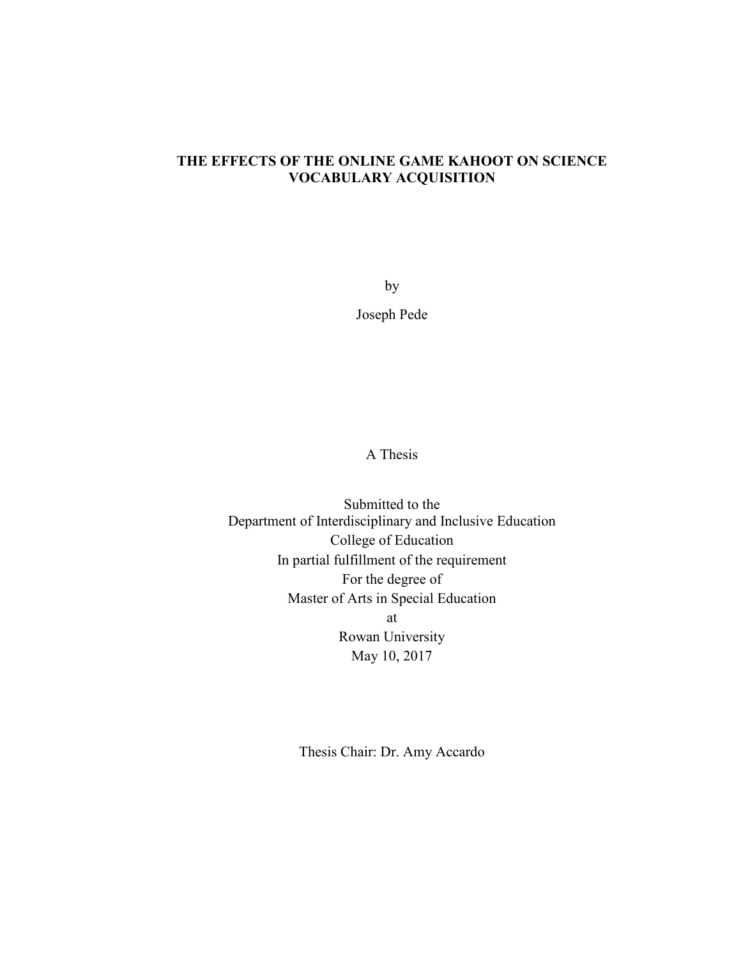## **THE EFFECTS OF THE ONLINE GAME KAHOOT ON SCIENCE VOCABULARY ACQUISITION**

by

Joseph Pede

A Thesis

Submitted to the Department of Interdisciplinary and Inclusive Education College of Education In partial fulfillment of the requirement For the degree of Master of Arts in Special Education at Rowan University May 10, 2017

Thesis Chair: Dr. Amy Accardo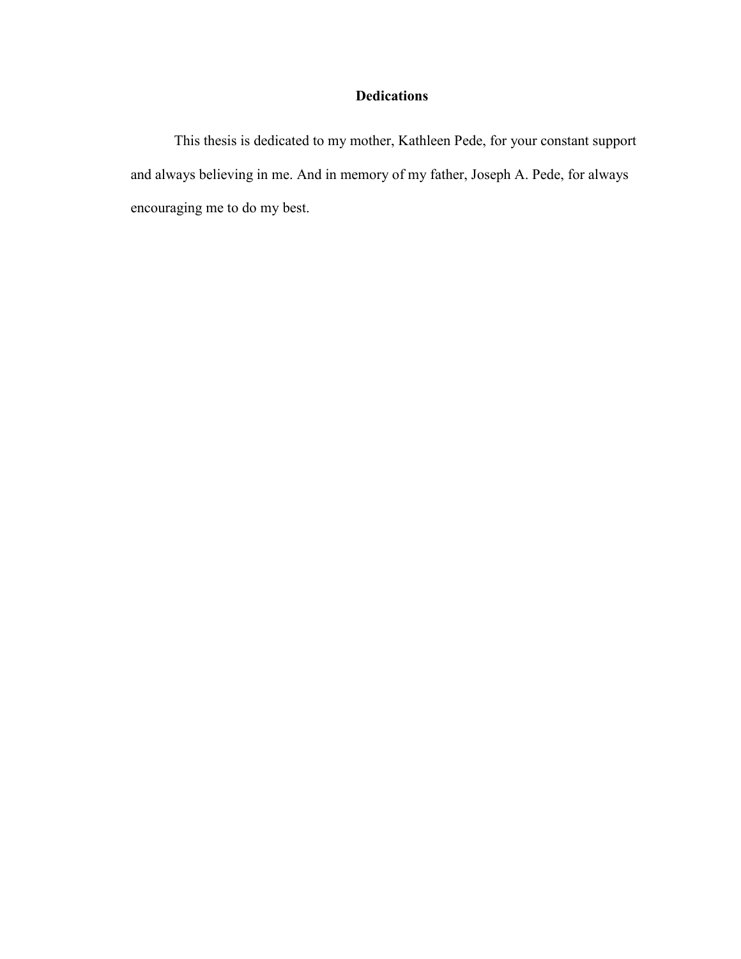## **Dedications**

This thesis is dedicated to my mother, Kathleen Pede, for your constant support and always believing in me. And in memory of my father, Joseph A. Pede, for always encouraging me to do my best.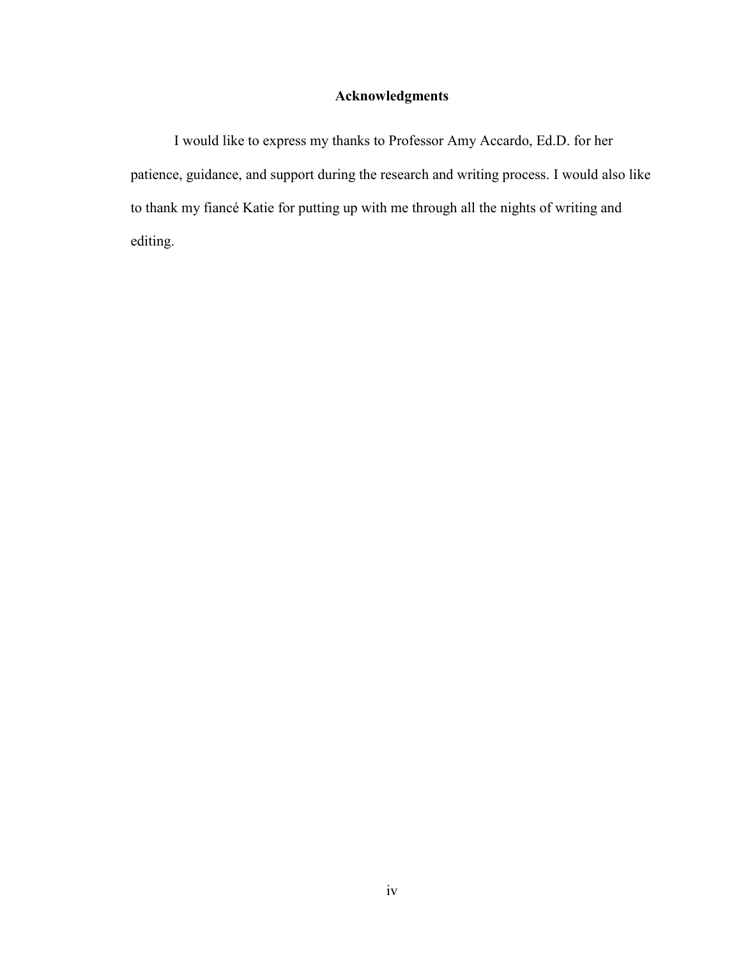## **Acknowledgments**

I would like to express my thanks to Professor Amy Accardo, Ed.D. for her patience, guidance, and support during the research and writing process. I would also like to thank my fiancé Katie for putting up with me through all the nights of writing and editing.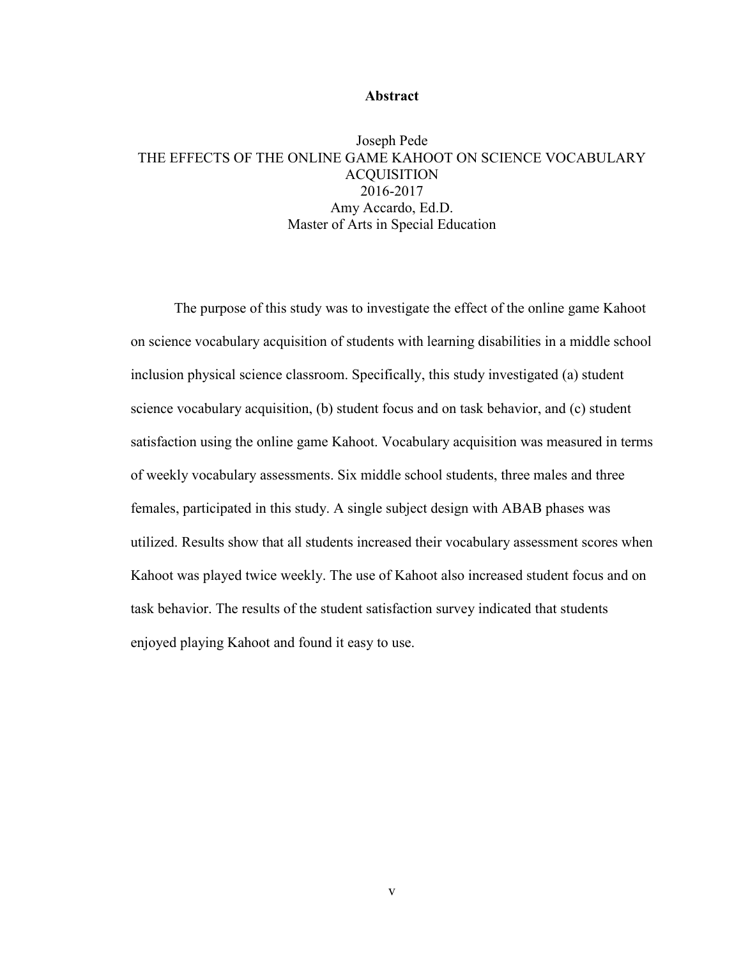#### **Abstract**

## Joseph Pede THE EFFECTS OF THE ONLINE GAME KAHOOT ON SCIENCE VOCABULARY **ACQUISITION** 2016-2017 Amy Accardo, Ed.D. Master of Arts in Special Education

 The purpose of this study was to investigate the effect of the online game Kahoot on science vocabulary acquisition of students with learning disabilities in a middle school inclusion physical science classroom. Specifically, this study investigated (a) student science vocabulary acquisition, (b) student focus and on task behavior, and (c) student satisfaction using the online game Kahoot. Vocabulary acquisition was measured in terms of weekly vocabulary assessments. Six middle school students, three males and three females, participated in this study. A single subject design with ABAB phases was utilized. Results show that all students increased their vocabulary assessment scores when Kahoot was played twice weekly. The use of Kahoot also increased student focus and on task behavior. The results of the student satisfaction survey indicated that students enjoyed playing Kahoot and found it easy to use.

v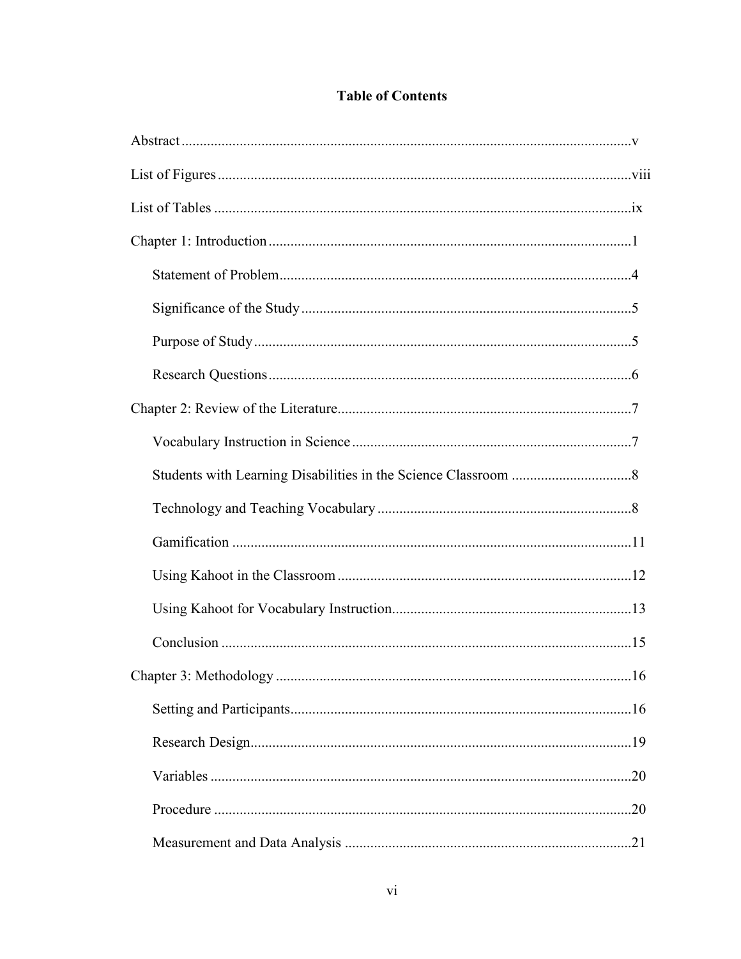| 16  |
|-----|
|     |
|     |
|     |
| .20 |
|     |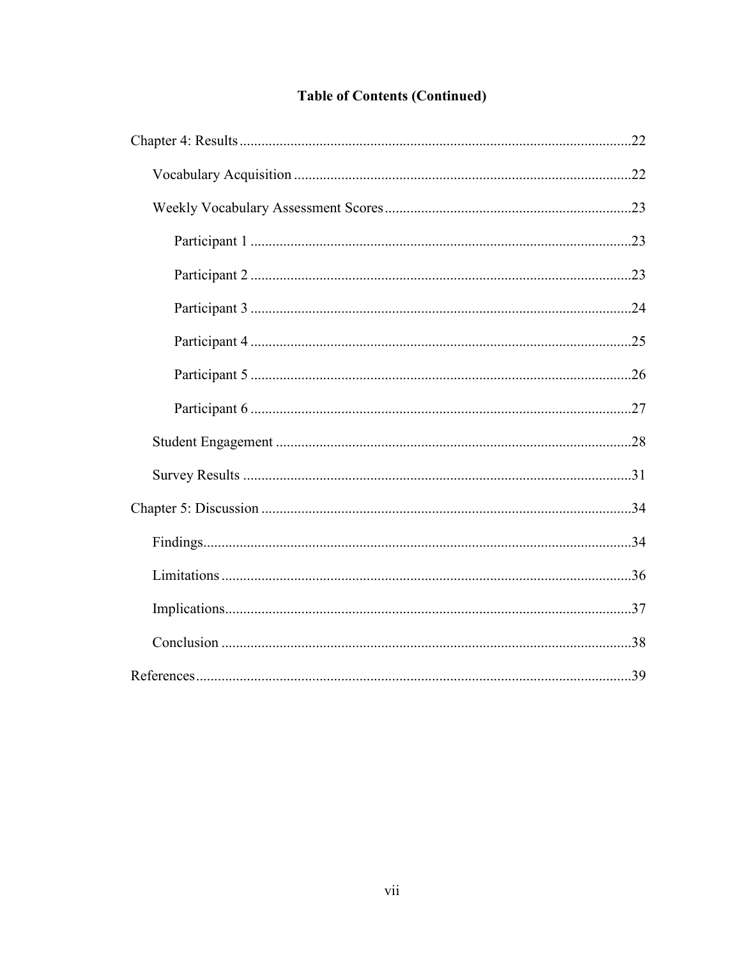## **Table of Contents (Continued)**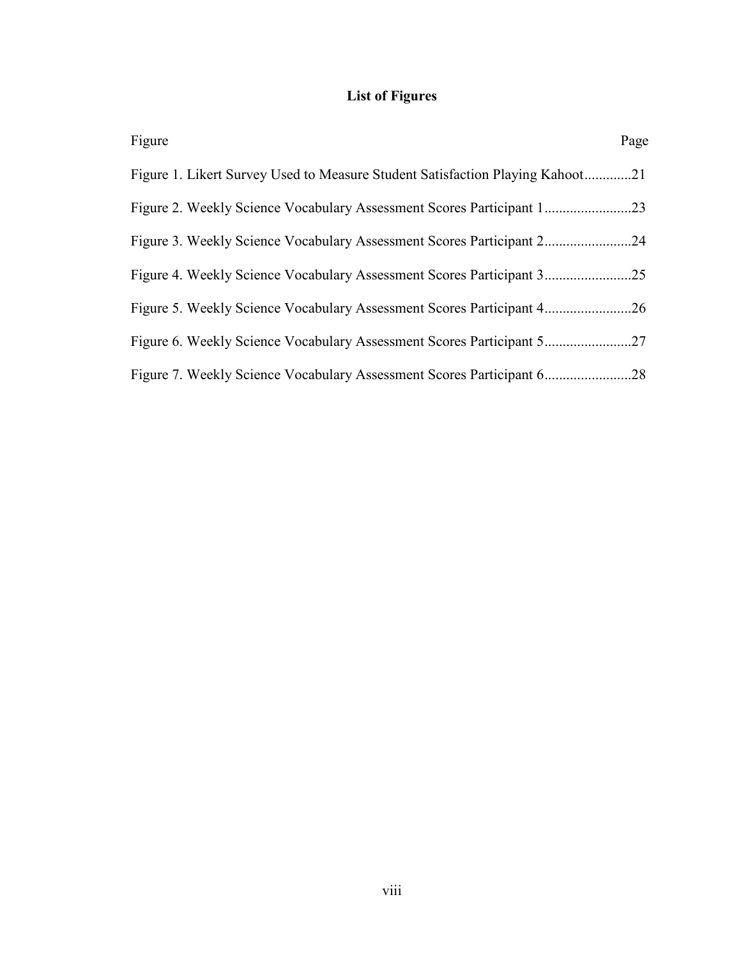## **List of Figures**

| Figure                                                                        | Page |
|-------------------------------------------------------------------------------|------|
| Figure 1. Likert Survey Used to Measure Student Satisfaction Playing Kahoot21 |      |
|                                                                               |      |
|                                                                               | . 24 |
|                                                                               | .25  |
|                                                                               |      |
|                                                                               |      |
|                                                                               | .28  |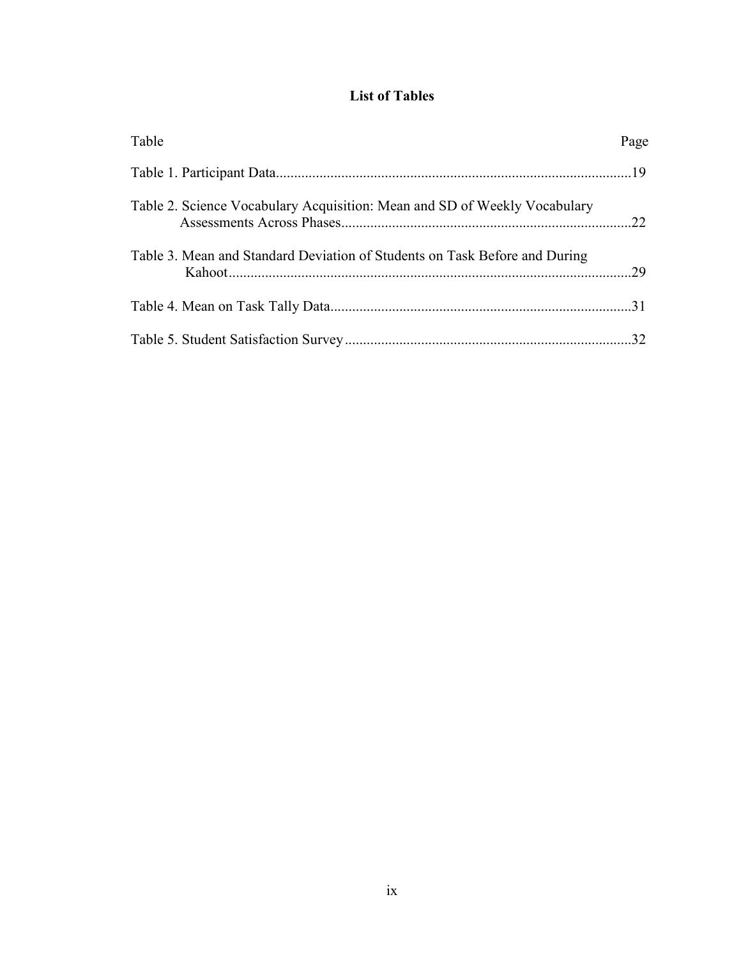## **List of Tables**

| Table                                                                      | Page |
|----------------------------------------------------------------------------|------|
|                                                                            |      |
| Table 2. Science Vocabulary Acquisition: Mean and SD of Weekly Vocabulary  |      |
| Table 3. Mean and Standard Deviation of Students on Task Before and During |      |
|                                                                            |      |
|                                                                            | .32  |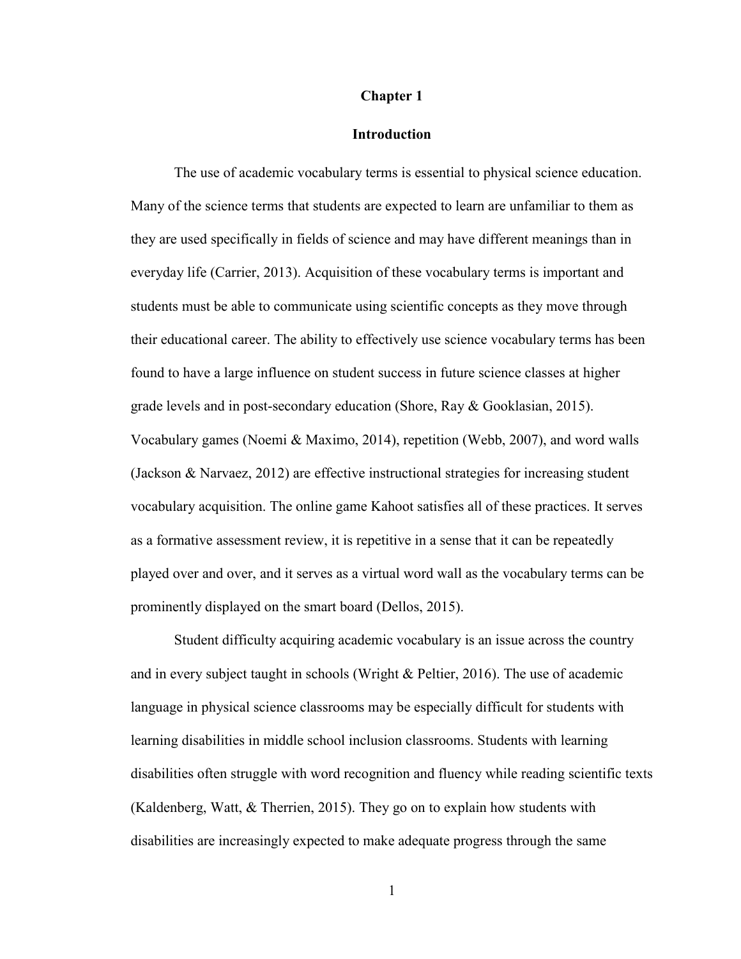#### **Chapter 1**

#### **Introduction**

 The use of academic vocabulary terms is essential to physical science education. Many of the science terms that students are expected to learn are unfamiliar to them as they are used specifically in fields of science and may have different meanings than in everyday life (Carrier, 2013). Acquisition of these vocabulary terms is important and students must be able to communicate using scientific concepts as they move through their educational career. The ability to effectively use science vocabulary terms has been found to have a large influence on student success in future science classes at higher grade levels and in post-secondary education (Shore, Ray & Gooklasian, 2015). Vocabulary games (Noemi & Maximo, 2014), repetition (Webb, 2007), and word walls (Jackson & Narvaez, 2012) are effective instructional strategies for increasing student vocabulary acquisition. The online game Kahoot satisfies all of these practices. It serves as a formative assessment review, it is repetitive in a sense that it can be repeatedly played over and over, and it serves as a virtual word wall as the vocabulary terms can be prominently displayed on the smart board (Dellos, 2015).

 Student difficulty acquiring academic vocabulary is an issue across the country and in every subject taught in schools (Wright & Peltier, 2016). The use of academic language in physical science classrooms may be especially difficult for students with learning disabilities in middle school inclusion classrooms. Students with learning disabilities often struggle with word recognition and fluency while reading scientific texts (Kaldenberg, Watt, & Therrien, 2015). They go on to explain how students with disabilities are increasingly expected to make adequate progress through the same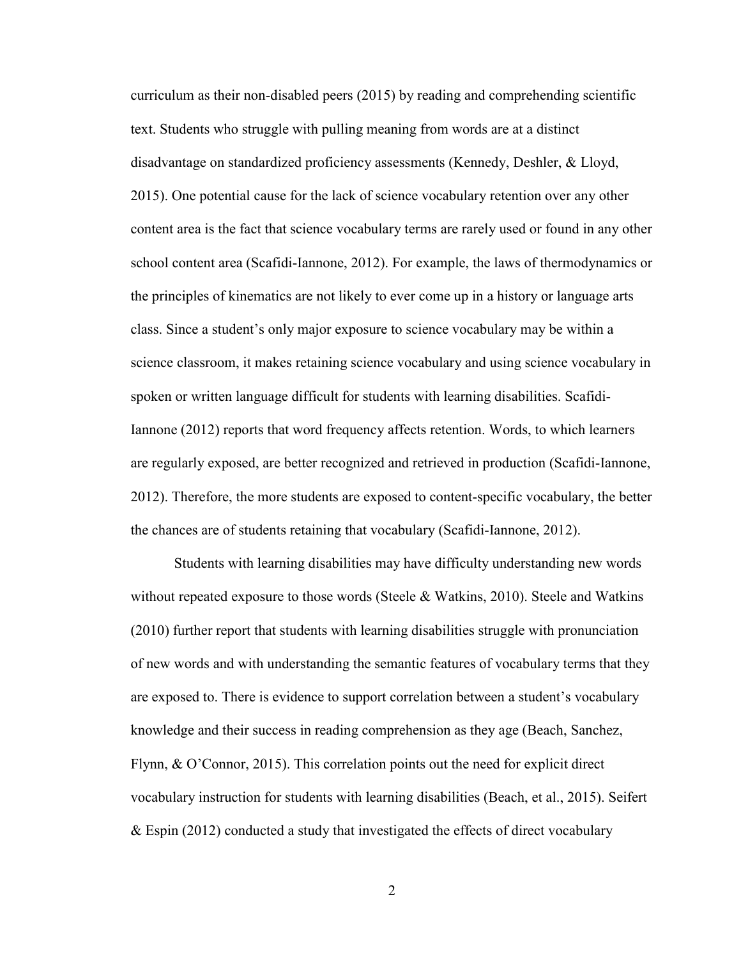curriculum as their non-disabled peers (2015) by reading and comprehending scientific text. Students who struggle with pulling meaning from words are at a distinct disadvantage on standardized proficiency assessments (Kennedy, Deshler, & Lloyd, 2015). One potential cause for the lack of science vocabulary retention over any other content area is the fact that science vocabulary terms are rarely used or found in any other school content area (Scafidi-Iannone, 2012). For example, the laws of thermodynamics or the principles of kinematics are not likely to ever come up in a history or language arts class. Since a student's only major exposure to science vocabulary may be within a science classroom, it makes retaining science vocabulary and using science vocabulary in spoken or written language difficult for students with learning disabilities. Scafidi-Iannone (2012) reports that word frequency affects retention. Words, to which learners are regularly exposed, are better recognized and retrieved in production (Scafidi-Iannone, 2012). Therefore, the more students are exposed to content-specific vocabulary, the better the chances are of students retaining that vocabulary (Scafidi-Iannone, 2012).

 Students with learning disabilities may have difficulty understanding new words without repeated exposure to those words (Steele & Watkins, 2010). Steele and Watkins (2010) further report that students with learning disabilities struggle with pronunciation of new words and with understanding the semantic features of vocabulary terms that they are exposed to. There is evidence to support correlation between a student's vocabulary knowledge and their success in reading comprehension as they age (Beach, Sanchez, Flynn, & O'Connor, 2015). This correlation points out the need for explicit direct vocabulary instruction for students with learning disabilities (Beach, et al., 2015). Seifert & Espin (2012) conducted a study that investigated the effects of direct vocabulary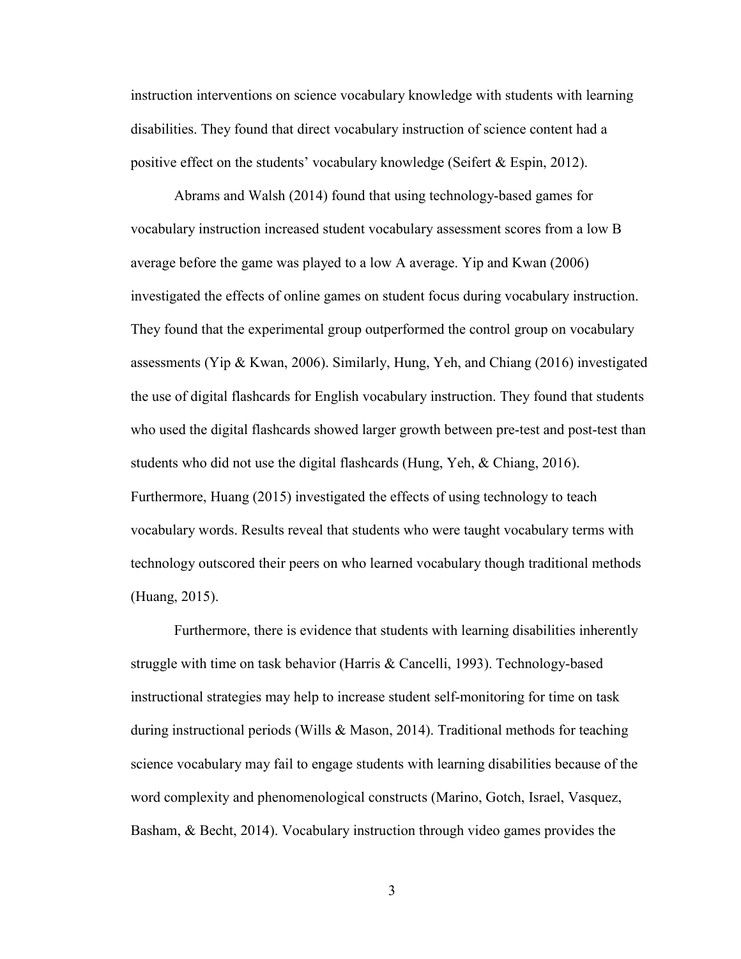instruction interventions on science vocabulary knowledge with students with learning disabilities. They found that direct vocabulary instruction of science content had a positive effect on the students' vocabulary knowledge (Seifert  $\&$  Espin, 2012).

 Abrams and Walsh (2014) found that using technology-based games for vocabulary instruction increased student vocabulary assessment scores from a low B average before the game was played to a low A average. Yip and Kwan (2006) investigated the effects of online games on student focus during vocabulary instruction. They found that the experimental group outperformed the control group on vocabulary assessments (Yip & Kwan, 2006). Similarly, Hung, Yeh, and Chiang (2016) investigated the use of digital flashcards for English vocabulary instruction. They found that students who used the digital flashcards showed larger growth between pre-test and post-test than students who did not use the digital flashcards (Hung, Yeh, & Chiang, 2016). Furthermore, Huang (2015) investigated the effects of using technology to teach vocabulary words. Results reveal that students who were taught vocabulary terms with technology outscored their peers on who learned vocabulary though traditional methods (Huang, 2015).

 Furthermore, there is evidence that students with learning disabilities inherently struggle with time on task behavior (Harris & Cancelli, 1993). Technology-based instructional strategies may help to increase student self-monitoring for time on task during instructional periods (Wills  $\&$  Mason, 2014). Traditional methods for teaching science vocabulary may fail to engage students with learning disabilities because of the word complexity and phenomenological constructs (Marino, Gotch, Israel, Vasquez, Basham, & Becht, 2014). Vocabulary instruction through video games provides the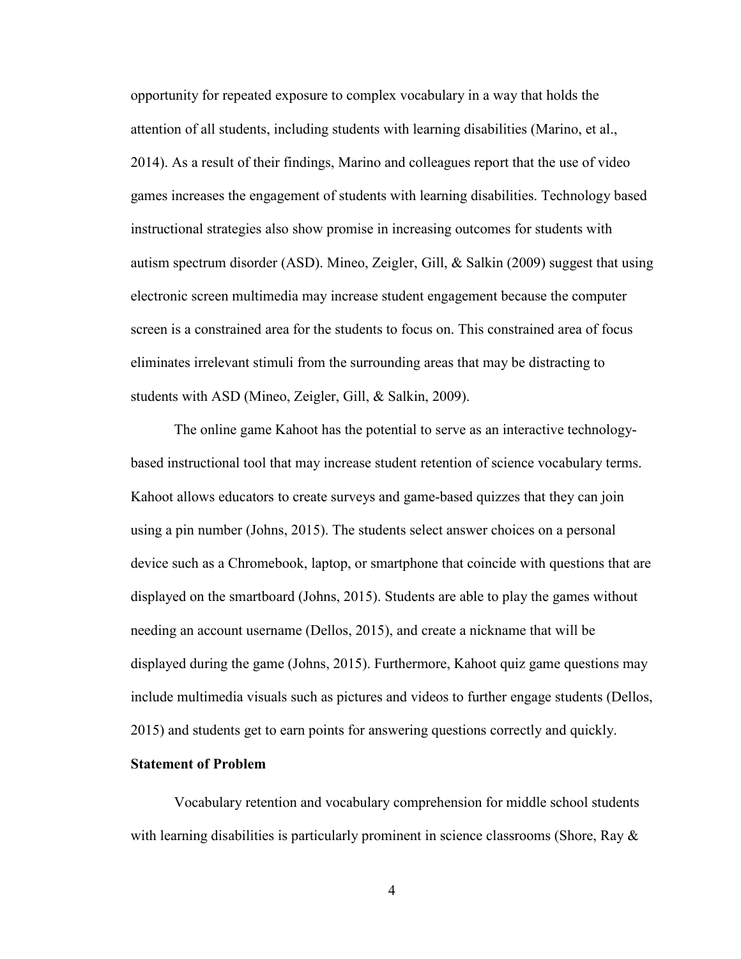opportunity for repeated exposure to complex vocabulary in a way that holds the attention of all students, including students with learning disabilities (Marino, et al., 2014). As a result of their findings, Marino and colleagues report that the use of video games increases the engagement of students with learning disabilities. Technology based instructional strategies also show promise in increasing outcomes for students with autism spectrum disorder (ASD). Mineo, Zeigler, Gill, & Salkin (2009) suggest that using electronic screen multimedia may increase student engagement because the computer screen is a constrained area for the students to focus on. This constrained area of focus eliminates irrelevant stimuli from the surrounding areas that may be distracting to students with ASD (Mineo, Zeigler, Gill, & Salkin, 2009).

 The online game Kahoot has the potential to serve as an interactive technologybased instructional tool that may increase student retention of science vocabulary terms. Kahoot allows educators to create surveys and game-based quizzes that they can join using a pin number (Johns, 2015). The students select answer choices on a personal device such as a Chromebook, laptop, or smartphone that coincide with questions that are displayed on the smartboard (Johns, 2015). Students are able to play the games without needing an account username (Dellos, 2015), and create a nickname that will be displayed during the game (Johns, 2015). Furthermore, Kahoot quiz game questions may include multimedia visuals such as pictures and videos to further engage students (Dellos, 2015) and students get to earn points for answering questions correctly and quickly.

#### **Statement of Problem**

 Vocabulary retention and vocabulary comprehension for middle school students with learning disabilities is particularly prominent in science classrooms (Shore, Ray  $\&$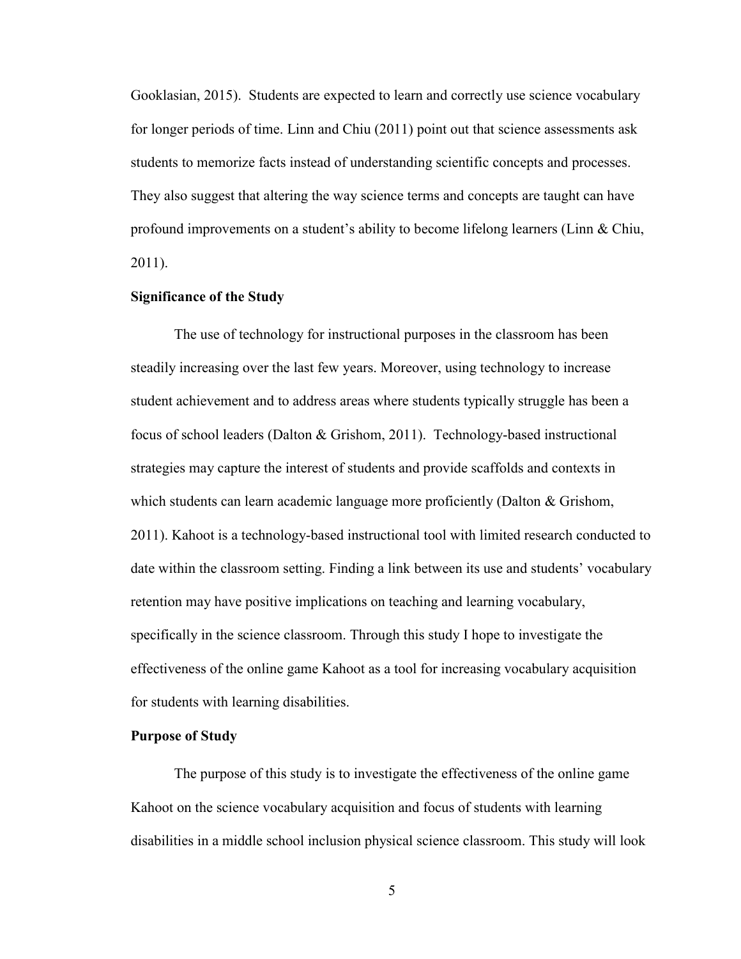Gooklasian, 2015). Students are expected to learn and correctly use science vocabulary for longer periods of time. Linn and Chiu (2011) point out that science assessments ask students to memorize facts instead of understanding scientific concepts and processes. They also suggest that altering the way science terms and concepts are taught can have profound improvements on a student's ability to become lifelong learners (Linn & Chiu, 2011).

#### **Significance of the Study**

 The use of technology for instructional purposes in the classroom has been steadily increasing over the last few years. Moreover, using technology to increase student achievement and to address areas where students typically struggle has been a focus of school leaders (Dalton & Grishom, 2011). Technology-based instructional strategies may capture the interest of students and provide scaffolds and contexts in which students can learn academic language more proficiently (Dalton & Grishom, 2011). Kahoot is a technology-based instructional tool with limited research conducted to date within the classroom setting. Finding a link between its use and students' vocabulary retention may have positive implications on teaching and learning vocabulary, specifically in the science classroom. Through this study I hope to investigate the effectiveness of the online game Kahoot as a tool for increasing vocabulary acquisition for students with learning disabilities.

#### **Purpose of Study**

 The purpose of this study is to investigate the effectiveness of the online game Kahoot on the science vocabulary acquisition and focus of students with learning disabilities in a middle school inclusion physical science classroom. This study will look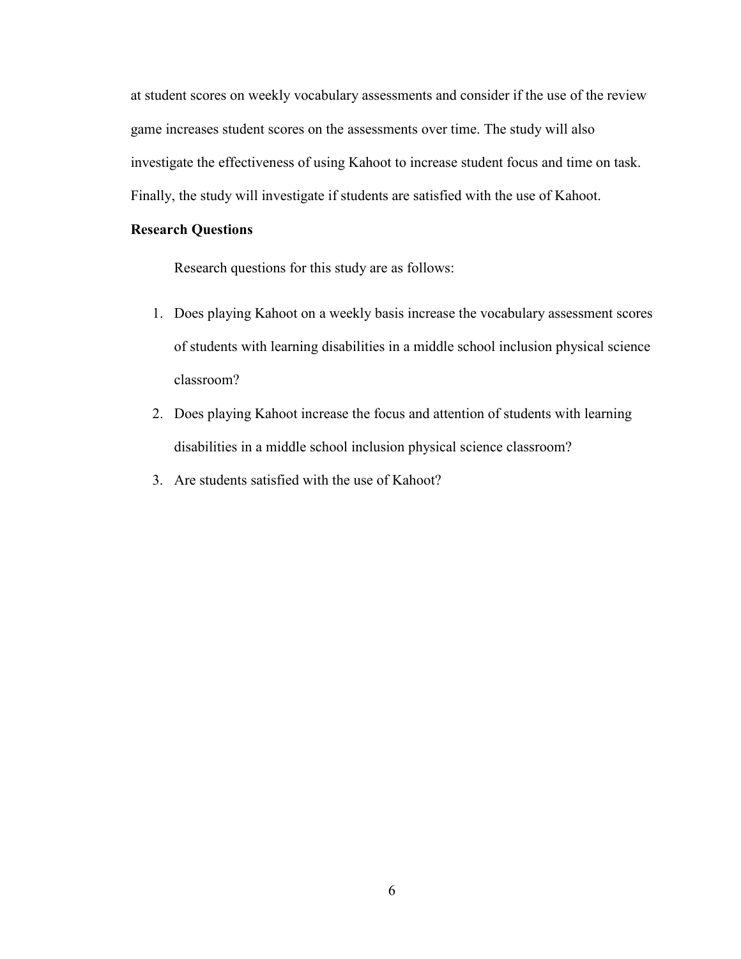at student scores on weekly vocabulary assessments and consider if the use of the review game increases student scores on the assessments over time. The study will also investigate the effectiveness of using Kahoot to increase student focus and time on task. Finally, the study will investigate if students are satisfied with the use of Kahoot.

#### **Research Questions**

Research questions for this study are as follows:

- 1. Does playing Kahoot on a weekly basis increase the vocabulary assessment scores of students with learning disabilities in a middle school inclusion physical science classroom?
- 2. Does playing Kahoot increase the focus and attention of students with learning disabilities in a middle school inclusion physical science classroom?
- 3. Are students satisfied with the use of Kahoot?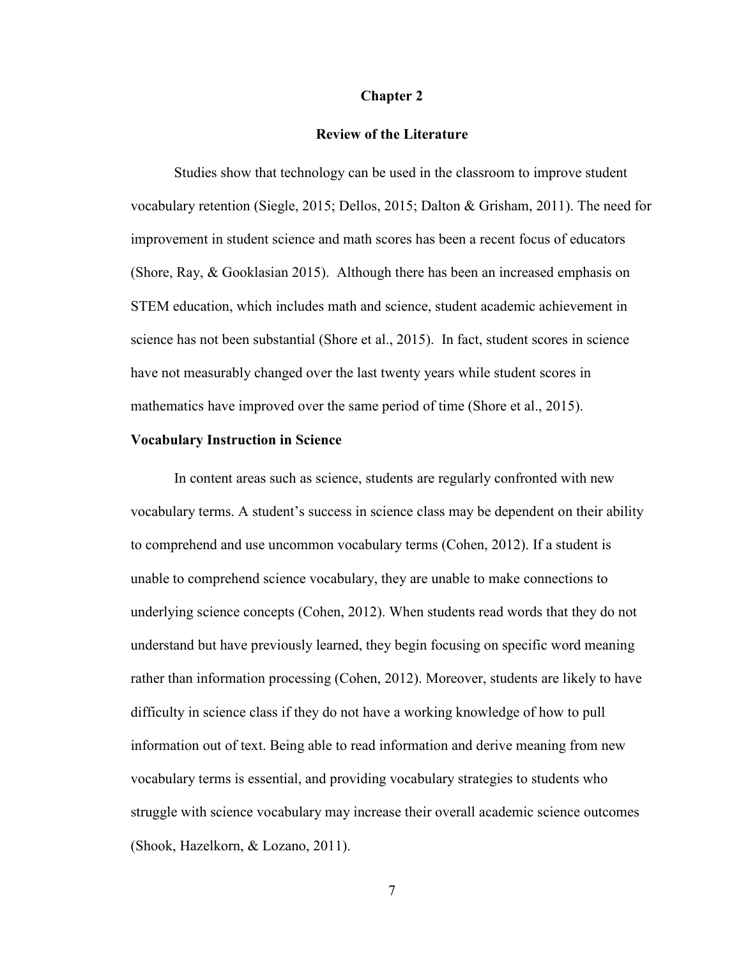#### **Chapter 2**

#### **Review of the Literature**

 Studies show that technology can be used in the classroom to improve student vocabulary retention (Siegle, 2015; Dellos, 2015; Dalton & Grisham, 2011). The need for improvement in student science and math scores has been a recent focus of educators (Shore, Ray, & Gooklasian 2015). Although there has been an increased emphasis on STEM education, which includes math and science, student academic achievement in science has not been substantial (Shore et al., 2015). In fact, student scores in science have not measurably changed over the last twenty years while student scores in mathematics have improved over the same period of time (Shore et al., 2015).

#### **Vocabulary Instruction in Science**

 In content areas such as science, students are regularly confronted with new vocabulary terms. A student's success in science class may be dependent on their ability to comprehend and use uncommon vocabulary terms (Cohen, 2012). If a student is unable to comprehend science vocabulary, they are unable to make connections to underlying science concepts (Cohen, 2012). When students read words that they do not understand but have previously learned, they begin focusing on specific word meaning rather than information processing (Cohen, 2012). Moreover, students are likely to have difficulty in science class if they do not have a working knowledge of how to pull information out of text. Being able to read information and derive meaning from new vocabulary terms is essential, and providing vocabulary strategies to students who struggle with science vocabulary may increase their overall academic science outcomes (Shook, Hazelkorn, & Lozano, 2011).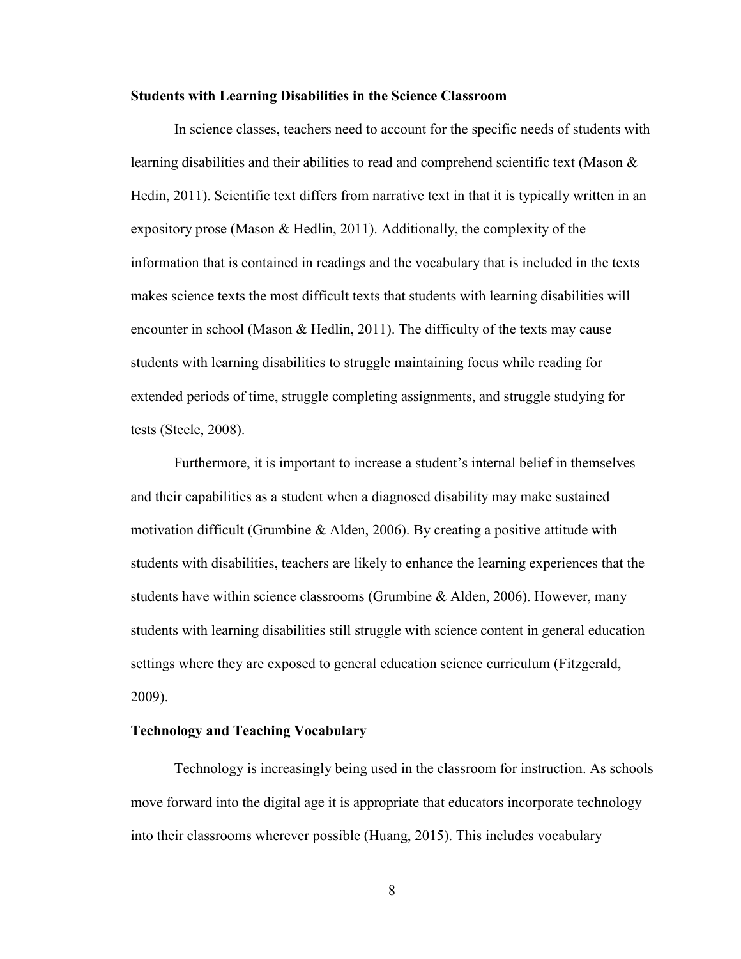#### **Students with Learning Disabilities in the Science Classroom**

 In science classes, teachers need to account for the specific needs of students with learning disabilities and their abilities to read and comprehend scientific text (Mason & Hedin, 2011). Scientific text differs from narrative text in that it is typically written in an expository prose (Mason & Hedlin, 2011). Additionally, the complexity of the information that is contained in readings and the vocabulary that is included in the texts makes science texts the most difficult texts that students with learning disabilities will encounter in school (Mason & Hedlin, 2011). The difficulty of the texts may cause students with learning disabilities to struggle maintaining focus while reading for extended periods of time, struggle completing assignments, and struggle studying for tests (Steele, 2008).

 Furthermore, it is important to increase a student's internal belief in themselves and their capabilities as a student when a diagnosed disability may make sustained motivation difficult (Grumbine & Alden, 2006). By creating a positive attitude with students with disabilities, teachers are likely to enhance the learning experiences that the students have within science classrooms (Grumbine & Alden, 2006). However, many students with learning disabilities still struggle with science content in general education settings where they are exposed to general education science curriculum (Fitzgerald, 2009).

### **Technology and Teaching Vocabulary**

 Technology is increasingly being used in the classroom for instruction. As schools move forward into the digital age it is appropriate that educators incorporate technology into their classrooms wherever possible (Huang, 2015). This includes vocabulary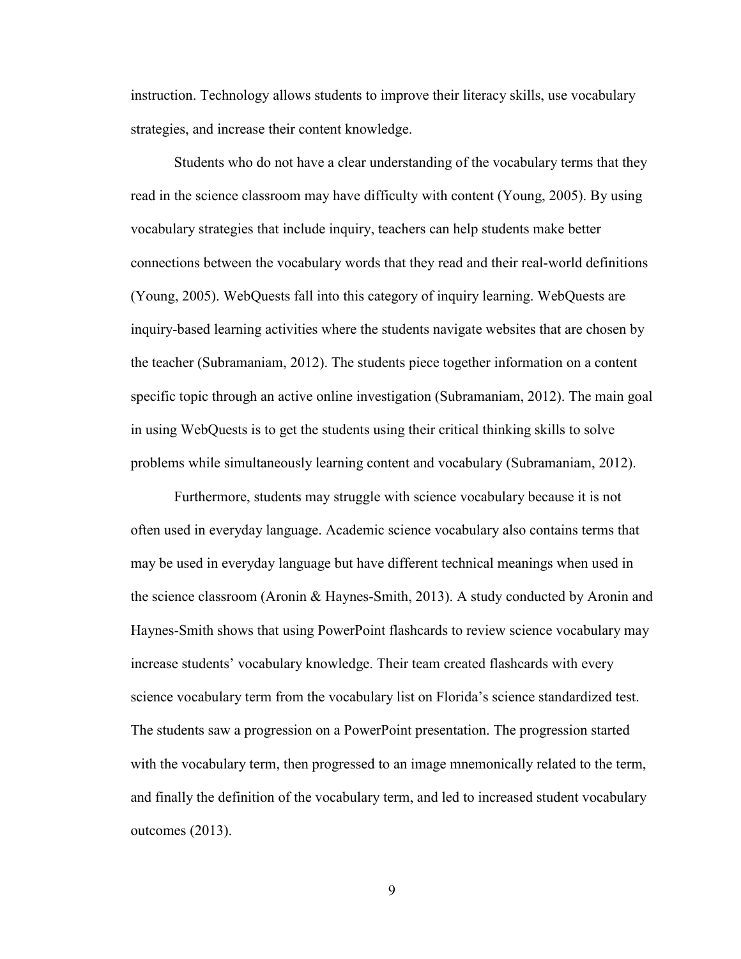instruction. Technology allows students to improve their literacy skills, use vocabulary strategies, and increase their content knowledge.

 Students who do not have a clear understanding of the vocabulary terms that they read in the science classroom may have difficulty with content (Young, 2005). By using vocabulary strategies that include inquiry, teachers can help students make better connections between the vocabulary words that they read and their real-world definitions (Young, 2005). WebQuests fall into this category of inquiry learning. WebQuests are inquiry-based learning activities where the students navigate websites that are chosen by the teacher (Subramaniam, 2012). The students piece together information on a content specific topic through an active online investigation (Subramaniam, 2012). The main goal in using WebQuests is to get the students using their critical thinking skills to solve problems while simultaneously learning content and vocabulary (Subramaniam, 2012).

 Furthermore, students may struggle with science vocabulary because it is not often used in everyday language. Academic science vocabulary also contains terms that may be used in everyday language but have different technical meanings when used in the science classroom (Aronin & Haynes-Smith, 2013). A study conducted by Aronin and Haynes-Smith shows that using PowerPoint flashcards to review science vocabulary may increase students' vocabulary knowledge. Their team created flashcards with every science vocabulary term from the vocabulary list on Florida's science standardized test. The students saw a progression on a PowerPoint presentation. The progression started with the vocabulary term, then progressed to an image mnemonically related to the term, and finally the definition of the vocabulary term, and led to increased student vocabulary outcomes (2013).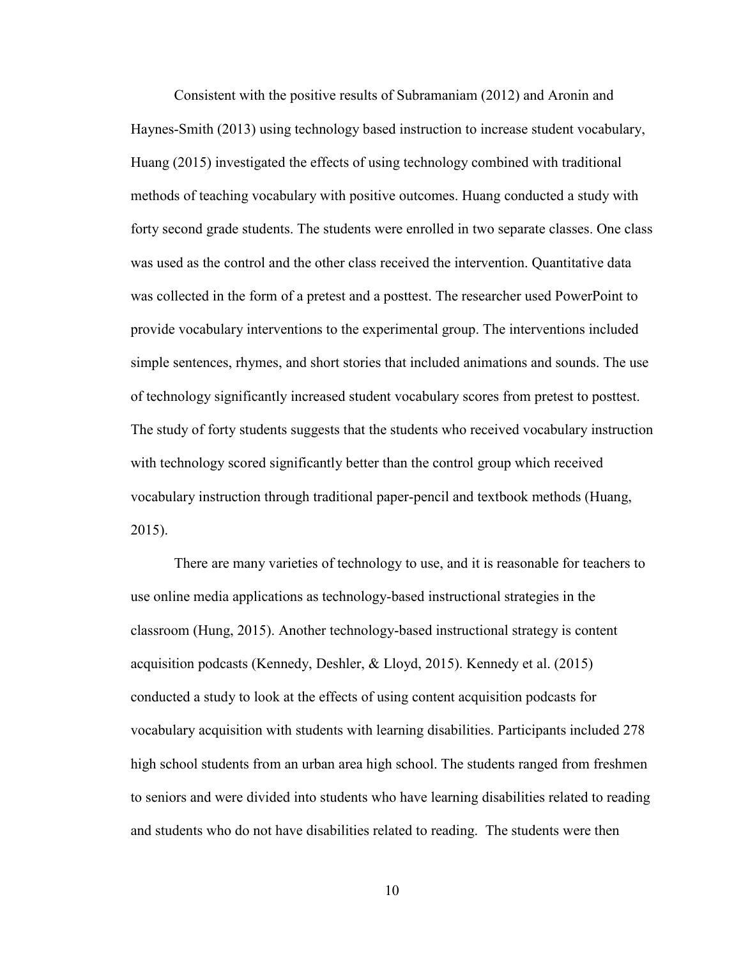Consistent with the positive results of Subramaniam (2012) and Aronin and Haynes-Smith (2013) using technology based instruction to increase student vocabulary, Huang (2015) investigated the effects of using technology combined with traditional methods of teaching vocabulary with positive outcomes. Huang conducted a study with forty second grade students. The students were enrolled in two separate classes. One class was used as the control and the other class received the intervention. Quantitative data was collected in the form of a pretest and a posttest. The researcher used PowerPoint to provide vocabulary interventions to the experimental group. The interventions included simple sentences, rhymes, and short stories that included animations and sounds. The use of technology significantly increased student vocabulary scores from pretest to posttest. The study of forty students suggests that the students who received vocabulary instruction with technology scored significantly better than the control group which received vocabulary instruction through traditional paper-pencil and textbook methods (Huang, 2015).

 There are many varieties of technology to use, and it is reasonable for teachers to use online media applications as technology-based instructional strategies in the classroom (Hung, 2015). Another technology-based instructional strategy is content acquisition podcasts (Kennedy, Deshler, & Lloyd, 2015). Kennedy et al. (2015) conducted a study to look at the effects of using content acquisition podcasts for vocabulary acquisition with students with learning disabilities. Participants included 278 high school students from an urban area high school. The students ranged from freshmen to seniors and were divided into students who have learning disabilities related to reading and students who do not have disabilities related to reading. The students were then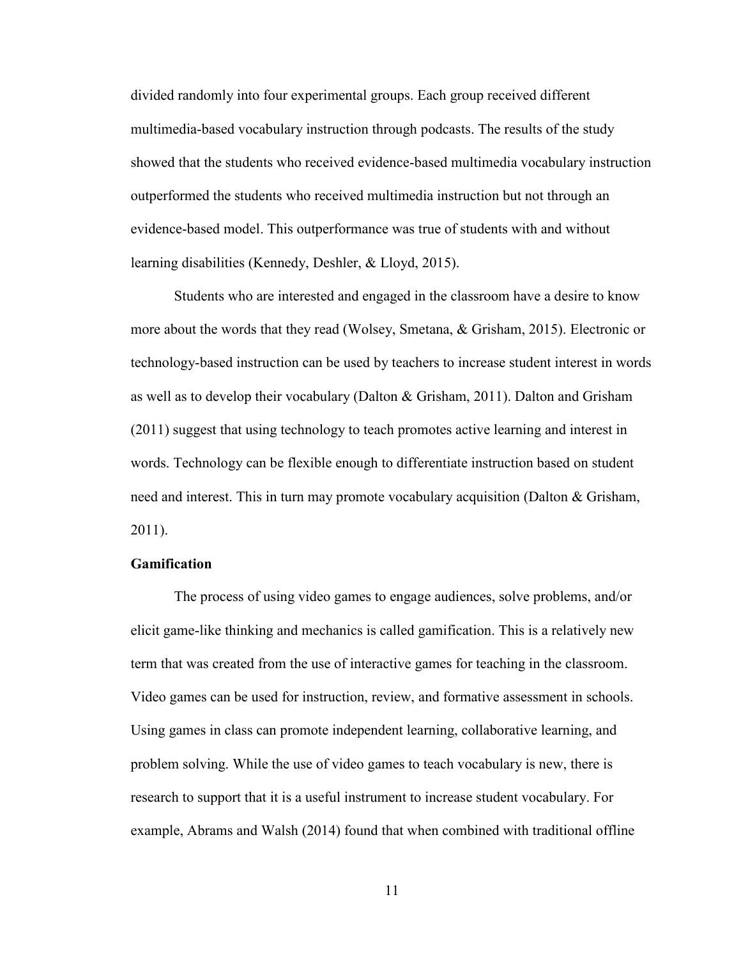divided randomly into four experimental groups. Each group received different multimedia-based vocabulary instruction through podcasts. The results of the study showed that the students who received evidence-based multimedia vocabulary instruction outperformed the students who received multimedia instruction but not through an evidence-based model. This outperformance was true of students with and without learning disabilities (Kennedy, Deshler, & Lloyd, 2015).

 Students who are interested and engaged in the classroom have a desire to know more about the words that they read (Wolsey, Smetana, & Grisham, 2015). Electronic or technology-based instruction can be used by teachers to increase student interest in words as well as to develop their vocabulary (Dalton & Grisham, 2011). Dalton and Grisham (2011) suggest that using technology to teach promotes active learning and interest in words. Technology can be flexible enough to differentiate instruction based on student need and interest. This in turn may promote vocabulary acquisition (Dalton & Grisham, 2011).

#### **Gamification**

 The process of using video games to engage audiences, solve problems, and/or elicit game-like thinking and mechanics is called gamification. This is a relatively new term that was created from the use of interactive games for teaching in the classroom. Video games can be used for instruction, review, and formative assessment in schools. Using games in class can promote independent learning, collaborative learning, and problem solving. While the use of video games to teach vocabulary is new, there is research to support that it is a useful instrument to increase student vocabulary. For example, Abrams and Walsh (2014) found that when combined with traditional offline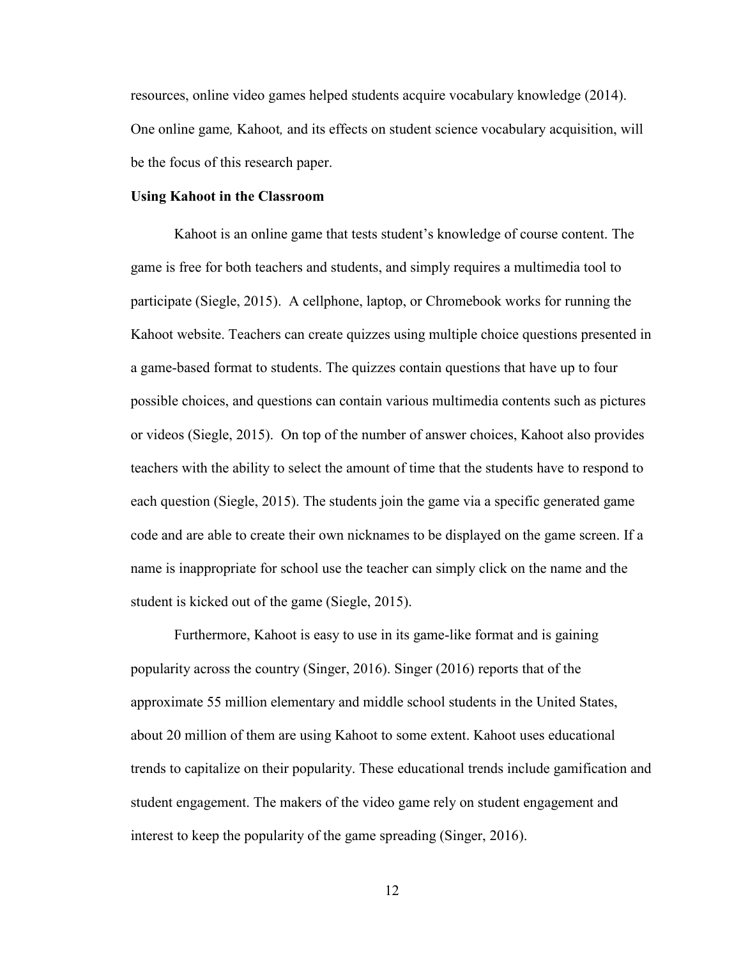resources, online video games helped students acquire vocabulary knowledge (2014). One online game*,* Kahoot*,* and its effects on student science vocabulary acquisition, will be the focus of this research paper.

#### **Using Kahoot in the Classroom**

 Kahoot is an online game that tests student's knowledge of course content. The game is free for both teachers and students, and simply requires a multimedia tool to participate (Siegle, 2015). A cellphone, laptop, or Chromebook works for running the Kahoot website. Teachers can create quizzes using multiple choice questions presented in a game-based format to students. The quizzes contain questions that have up to four possible choices, and questions can contain various multimedia contents such as pictures or videos (Siegle, 2015). On top of the number of answer choices, Kahoot also provides teachers with the ability to select the amount of time that the students have to respond to each question (Siegle, 2015). The students join the game via a specific generated game code and are able to create their own nicknames to be displayed on the game screen. If a name is inappropriate for school use the teacher can simply click on the name and the student is kicked out of the game (Siegle, 2015).

 Furthermore, Kahoot is easy to use in its game-like format and is gaining popularity across the country (Singer, 2016). Singer (2016) reports that of the approximate 55 million elementary and middle school students in the United States, about 20 million of them are using Kahoot to some extent. Kahoot uses educational trends to capitalize on their popularity. These educational trends include gamification and student engagement. The makers of the video game rely on student engagement and interest to keep the popularity of the game spreading (Singer, 2016).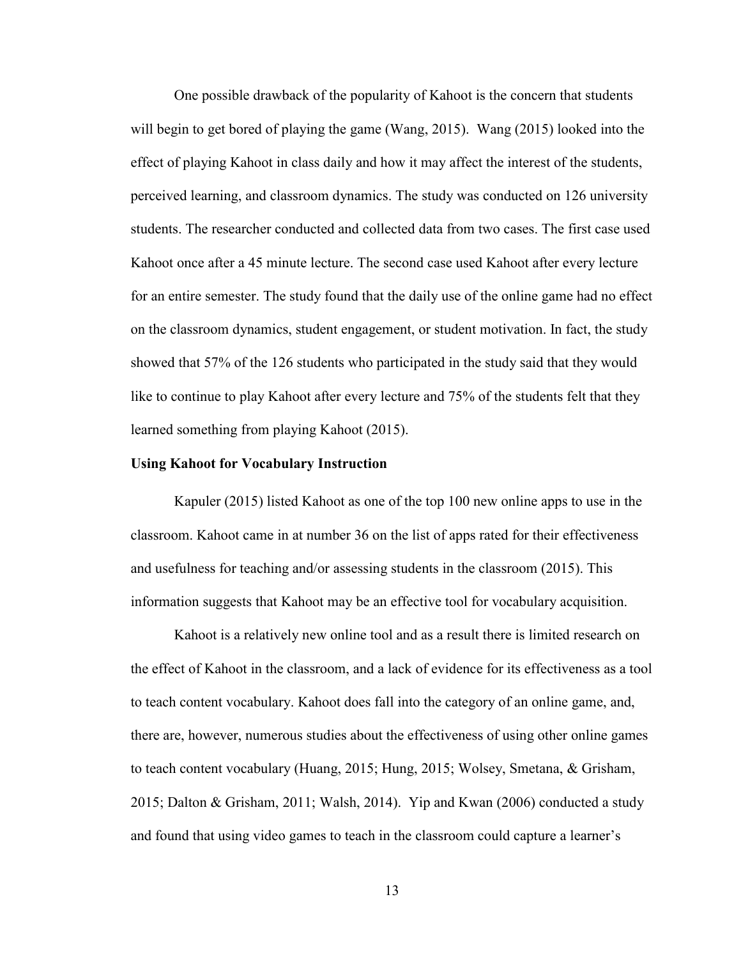One possible drawback of the popularity of Kahoot is the concern that students will begin to get bored of playing the game (Wang, 2015). Wang (2015) looked into the effect of playing Kahoot in class daily and how it may affect the interest of the students, perceived learning, and classroom dynamics. The study was conducted on 126 university students. The researcher conducted and collected data from two cases. The first case used Kahoot once after a 45 minute lecture. The second case used Kahoot after every lecture for an entire semester. The study found that the daily use of the online game had no effect on the classroom dynamics, student engagement, or student motivation. In fact, the study showed that 57% of the 126 students who participated in the study said that they would like to continue to play Kahoot after every lecture and 75% of the students felt that they learned something from playing Kahoot (2015).

#### **Using Kahoot for Vocabulary Instruction**

 Kapuler (2015) listed Kahoot as one of the top 100 new online apps to use in the classroom. Kahoot came in at number 36 on the list of apps rated for their effectiveness and usefulness for teaching and/or assessing students in the classroom (2015). This information suggests that Kahoot may be an effective tool for vocabulary acquisition.

 Kahoot is a relatively new online tool and as a result there is limited research on the effect of Kahoot in the classroom, and a lack of evidence for its effectiveness as a tool to teach content vocabulary. Kahoot does fall into the category of an online game, and, there are, however, numerous studies about the effectiveness of using other online games to teach content vocabulary (Huang, 2015; Hung, 2015; Wolsey, Smetana, & Grisham, 2015; Dalton & Grisham, 2011; Walsh, 2014). Yip and Kwan (2006) conducted a study and found that using video games to teach in the classroom could capture a learner's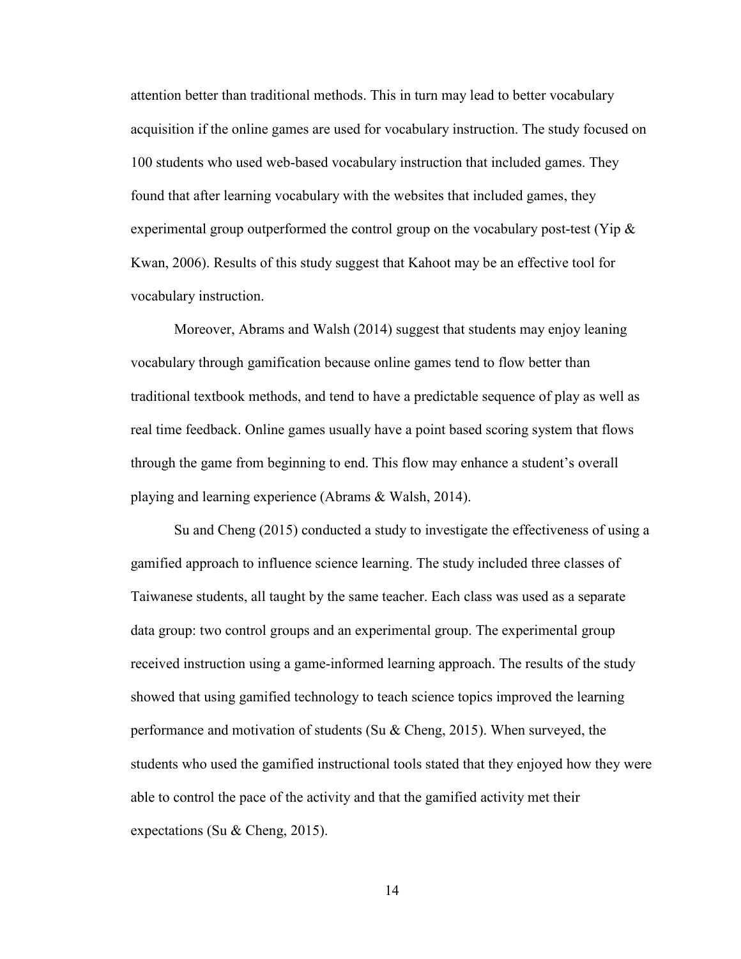attention better than traditional methods. This in turn may lead to better vocabulary acquisition if the online games are used for vocabulary instruction. The study focused on 100 students who used web-based vocabulary instruction that included games. They found that after learning vocabulary with the websites that included games, they experimental group outperformed the control group on the vocabulary post-test (Yip  $\&$ Kwan, 2006). Results of this study suggest that Kahoot may be an effective tool for vocabulary instruction.

 Moreover, Abrams and Walsh (2014) suggest that students may enjoy leaning vocabulary through gamification because online games tend to flow better than traditional textbook methods, and tend to have a predictable sequence of play as well as real time feedback. Online games usually have a point based scoring system that flows through the game from beginning to end. This flow may enhance a student's overall playing and learning experience (Abrams & Walsh, 2014).

 Su and Cheng (2015) conducted a study to investigate the effectiveness of using a gamified approach to influence science learning. The study included three classes of Taiwanese students, all taught by the same teacher. Each class was used as a separate data group: two control groups and an experimental group. The experimental group received instruction using a game-informed learning approach. The results of the study showed that using gamified technology to teach science topics improved the learning performance and motivation of students (Su & Cheng, 2015). When surveyed, the students who used the gamified instructional tools stated that they enjoyed how they were able to control the pace of the activity and that the gamified activity met their expectations (Su & Cheng, 2015).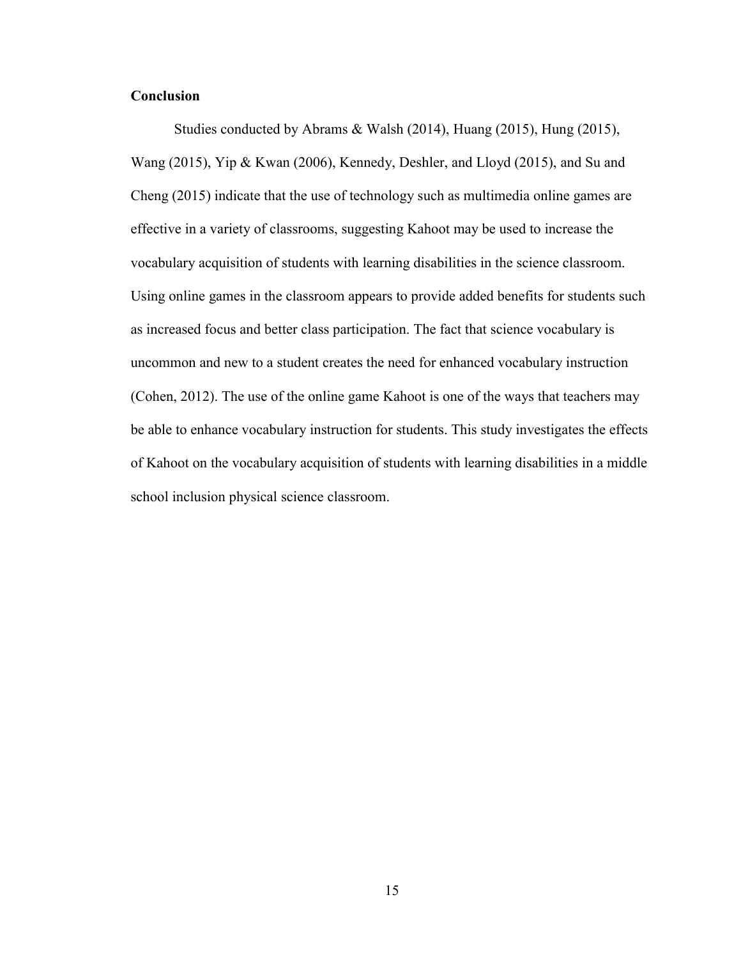## **Conclusion**

 Studies conducted by Abrams & Walsh (2014), Huang (2015), Hung (2015), Wang (2015), Yip & Kwan (2006), Kennedy, Deshler, and Lloyd (2015), and Su and Cheng (2015) indicate that the use of technology such as multimedia online games are effective in a variety of classrooms, suggesting Kahoot may be used to increase the vocabulary acquisition of students with learning disabilities in the science classroom. Using online games in the classroom appears to provide added benefits for students such as increased focus and better class participation. The fact that science vocabulary is uncommon and new to a student creates the need for enhanced vocabulary instruction (Cohen, 2012). The use of the online game Kahoot is one of the ways that teachers may be able to enhance vocabulary instruction for students. This study investigates the effects of Kahoot on the vocabulary acquisition of students with learning disabilities in a middle school inclusion physical science classroom.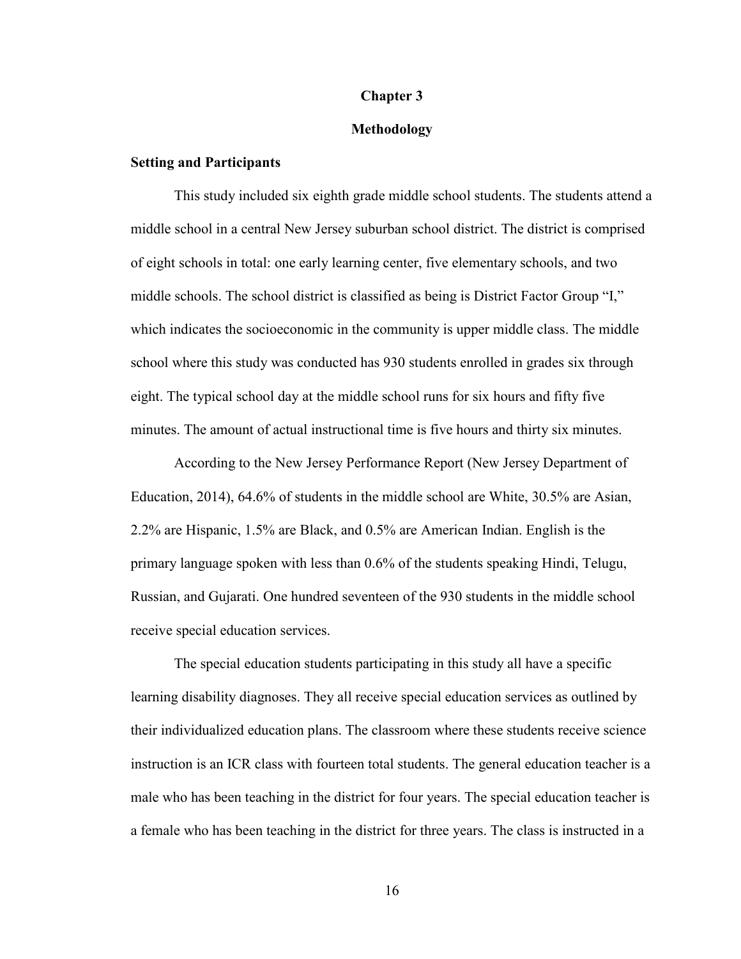#### **Chapter 3**

#### **Methodology**

#### **Setting and Participants**

This study included six eighth grade middle school students. The students attend a middle school in a central New Jersey suburban school district. The district is comprised of eight schools in total: one early learning center, five elementary schools, and two middle schools. The school district is classified as being is District Factor Group "I," which indicates the socioeconomic in the community is upper middle class. The middle school where this study was conducted has 930 students enrolled in grades six through eight. The typical school day at the middle school runs for six hours and fifty five minutes. The amount of actual instructional time is five hours and thirty six minutes.

 According to the New Jersey Performance Report (New Jersey Department of Education, 2014), 64.6% of students in the middle school are White, 30.5% are Asian, 2.2% are Hispanic, 1.5% are Black, and 0.5% are American Indian. English is the primary language spoken with less than 0.6% of the students speaking Hindi, Telugu, Russian, and Gujarati. One hundred seventeen of the 930 students in the middle school receive special education services.

 The special education students participating in this study all have a specific learning disability diagnoses. They all receive special education services as outlined by their individualized education plans. The classroom where these students receive science instruction is an ICR class with fourteen total students. The general education teacher is a male who has been teaching in the district for four years. The special education teacher is a female who has been teaching in the district for three years. The class is instructed in a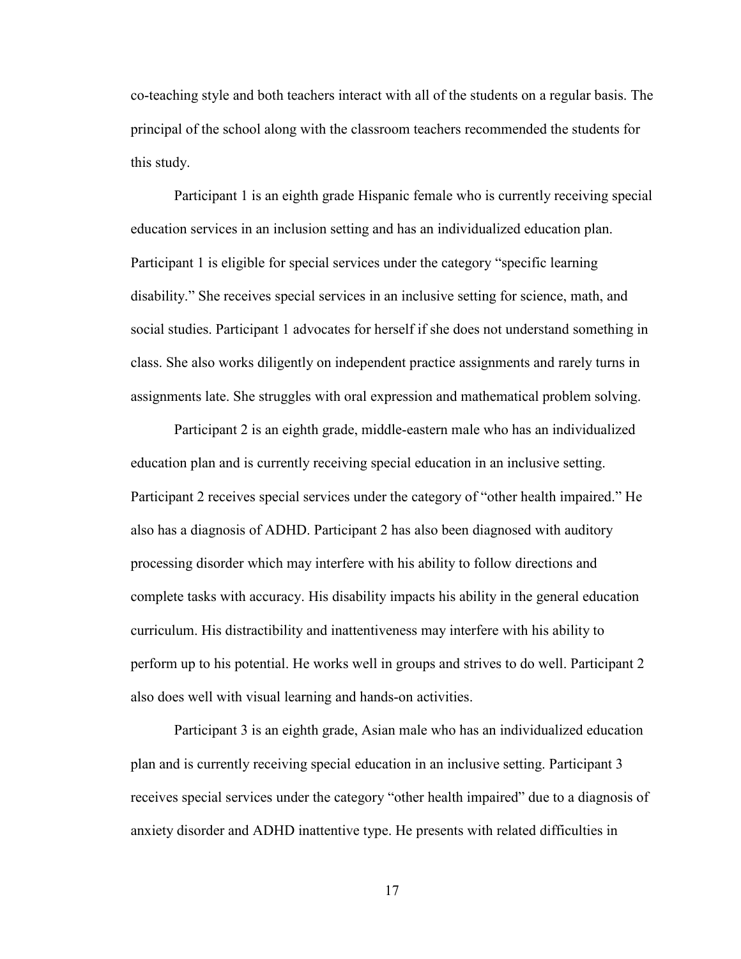co-teaching style and both teachers interact with all of the students on a regular basis. The principal of the school along with the classroom teachers recommended the students for this study.

 Participant 1 is an eighth grade Hispanic female who is currently receiving special education services in an inclusion setting and has an individualized education plan. Participant 1 is eligible for special services under the category "specific learning disability." She receives special services in an inclusive setting for science, math, and social studies. Participant 1 advocates for herself if she does not understand something in class. She also works diligently on independent practice assignments and rarely turns in assignments late. She struggles with oral expression and mathematical problem solving.

 Participant 2 is an eighth grade, middle-eastern male who has an individualized education plan and is currently receiving special education in an inclusive setting. Participant 2 receives special services under the category of "other health impaired." He also has a diagnosis of ADHD. Participant 2 has also been diagnosed with auditory processing disorder which may interfere with his ability to follow directions and complete tasks with accuracy. His disability impacts his ability in the general education curriculum. His distractibility and inattentiveness may interfere with his ability to perform up to his potential. He works well in groups and strives to do well. Participant 2 also does well with visual learning and hands-on activities.

 Participant 3 is an eighth grade, Asian male who has an individualized education plan and is currently receiving special education in an inclusive setting. Participant 3 receives special services under the category "other health impaired" due to a diagnosis of anxiety disorder and ADHD inattentive type. He presents with related difficulties in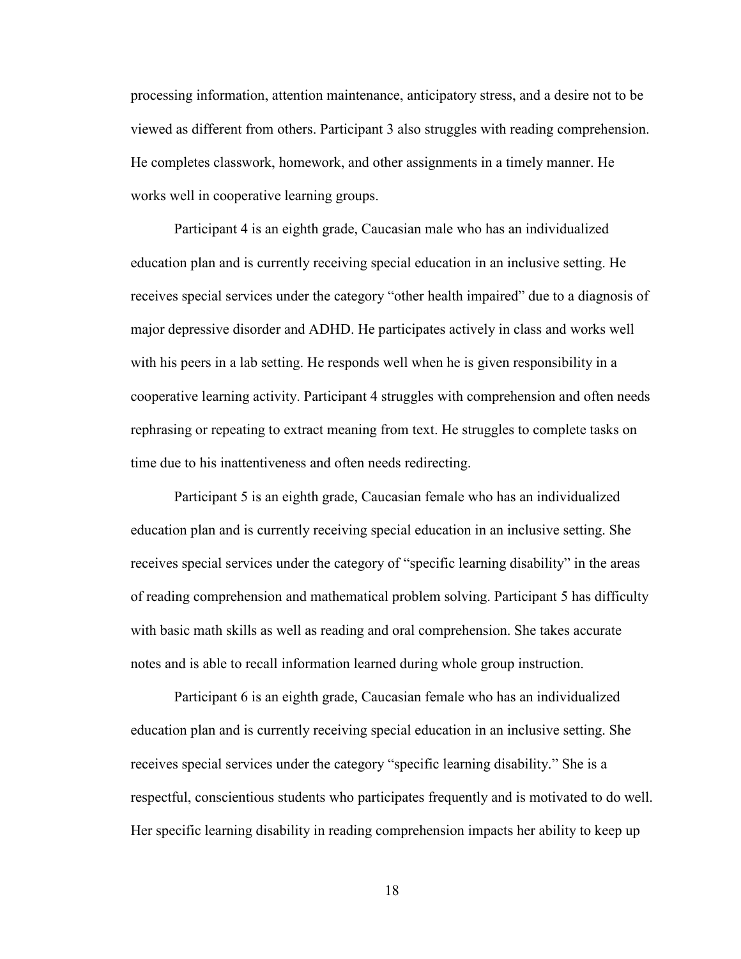processing information, attention maintenance, anticipatory stress, and a desire not to be viewed as different from others. Participant 3 also struggles with reading comprehension. He completes classwork, homework, and other assignments in a timely manner. He works well in cooperative learning groups.

 Participant 4 is an eighth grade, Caucasian male who has an individualized education plan and is currently receiving special education in an inclusive setting. He receives special services under the category "other health impaired" due to a diagnosis of major depressive disorder and ADHD. He participates actively in class and works well with his peers in a lab setting. He responds well when he is given responsibility in a cooperative learning activity. Participant 4 struggles with comprehension and often needs rephrasing or repeating to extract meaning from text. He struggles to complete tasks on time due to his inattentiveness and often needs redirecting.

 Participant 5 is an eighth grade, Caucasian female who has an individualized education plan and is currently receiving special education in an inclusive setting. She receives special services under the category of "specific learning disability" in the areas of reading comprehension and mathematical problem solving. Participant 5 has difficulty with basic math skills as well as reading and oral comprehension. She takes accurate notes and is able to recall information learned during whole group instruction.

 Participant 6 is an eighth grade, Caucasian female who has an individualized education plan and is currently receiving special education in an inclusive setting. She receives special services under the category "specific learning disability." She is a respectful, conscientious students who participates frequently and is motivated to do well. Her specific learning disability in reading comprehension impacts her ability to keep up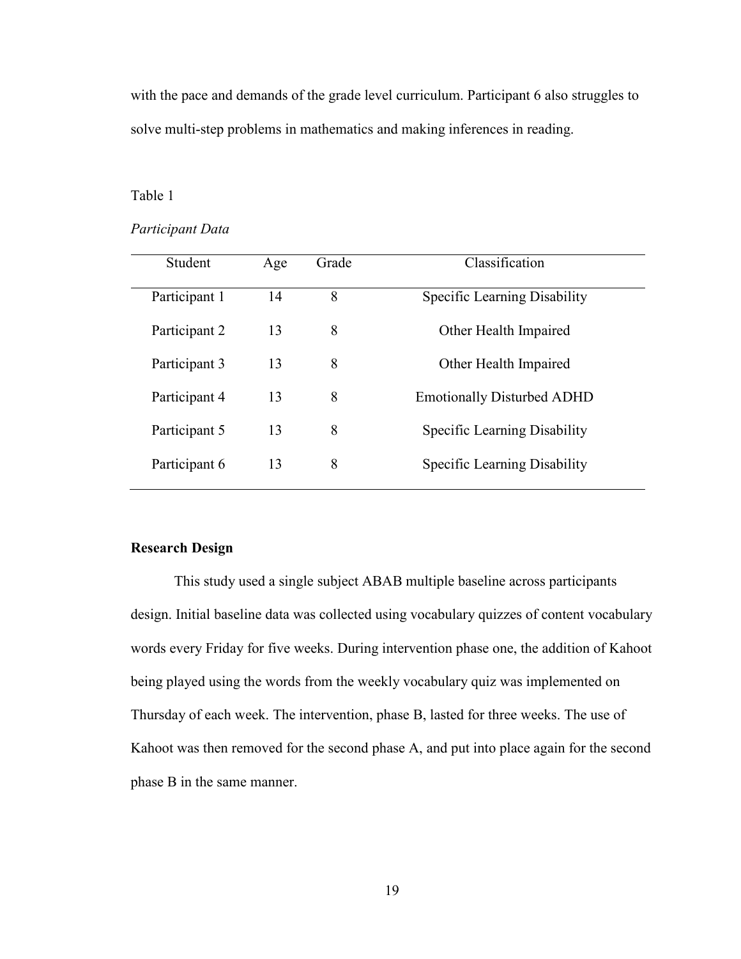with the pace and demands of the grade level curriculum. Participant 6 also struggles to solve multi-step problems in mathematics and making inferences in reading.

#### Table 1

#### *Participant Data*

| Student       | Age | Grade | Classification                    |
|---------------|-----|-------|-----------------------------------|
| Participant 1 | 14  | 8     | Specific Learning Disability      |
| Participant 2 | 13  | 8     | Other Health Impaired             |
| Participant 3 | 13  | 8     | Other Health Impaired             |
| Participant 4 | 13  | 8     | <b>Emotionally Disturbed ADHD</b> |
| Participant 5 | 13  | 8     | Specific Learning Disability      |
| Participant 6 | 13  | 8     | Specific Learning Disability      |

### **Research Design**

This study used a single subject ABAB multiple baseline across participants design. Initial baseline data was collected using vocabulary quizzes of content vocabulary words every Friday for five weeks. During intervention phase one, the addition of Kahoot being played using the words from the weekly vocabulary quiz was implemented on Thursday of each week. The intervention, phase B, lasted for three weeks. The use of Kahoot was then removed for the second phase A, and put into place again for the second phase B in the same manner.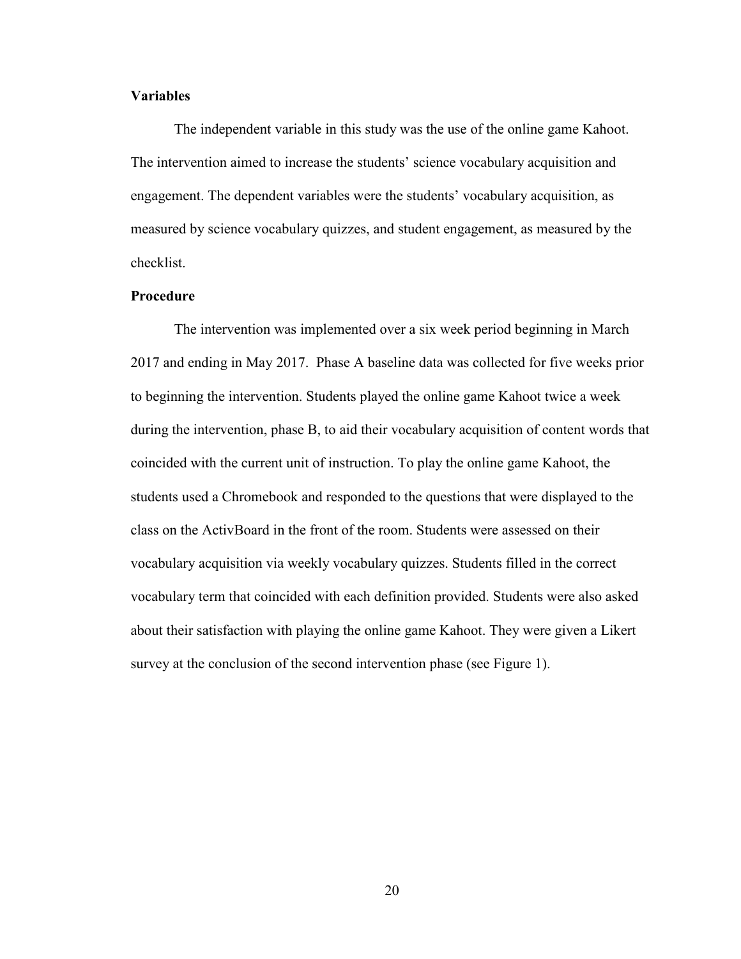## **Variables**

 The independent variable in this study was the use of the online game Kahoot. The intervention aimed to increase the students' science vocabulary acquisition and engagement. The dependent variables were the students' vocabulary acquisition, as measured by science vocabulary quizzes, and student engagement, as measured by the checklist.

#### **Procedure**

 The intervention was implemented over a six week period beginning in March 2017 and ending in May 2017. Phase A baseline data was collected for five weeks prior to beginning the intervention. Students played the online game Kahoot twice a week during the intervention, phase B, to aid their vocabulary acquisition of content words that coincided with the current unit of instruction. To play the online game Kahoot, the students used a Chromebook and responded to the questions that were displayed to the class on the ActivBoard in the front of the room. Students were assessed on their vocabulary acquisition via weekly vocabulary quizzes. Students filled in the correct vocabulary term that coincided with each definition provided. Students were also asked about their satisfaction with playing the online game Kahoot. They were given a Likert survey at the conclusion of the second intervention phase (see Figure 1).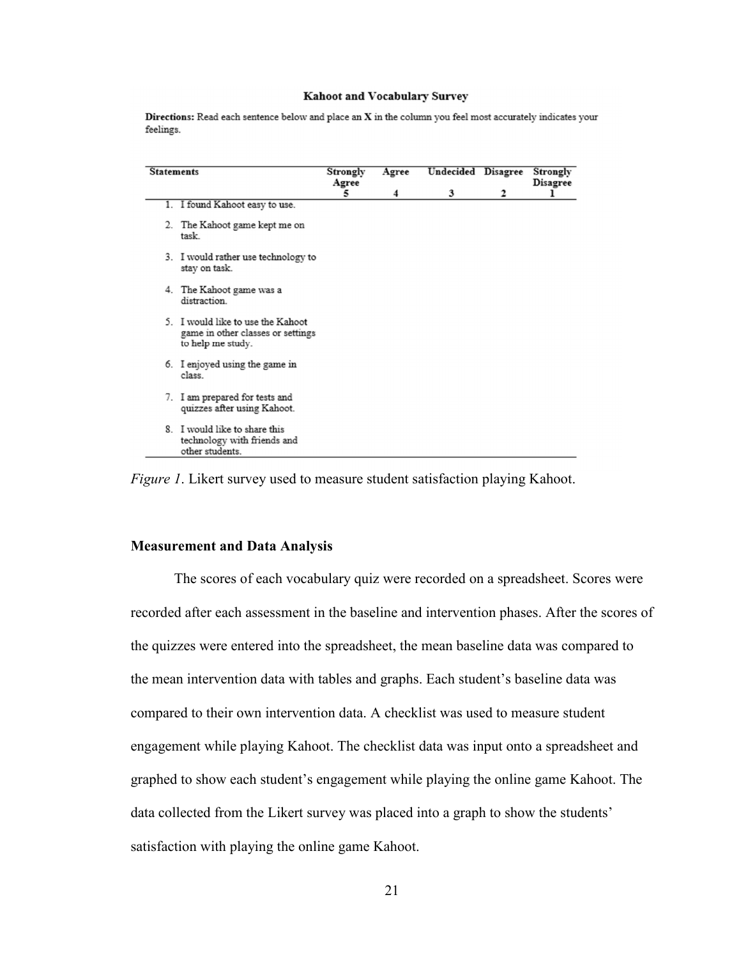#### Kahoot and Vocabulary Survey

Directions: Read each sentence below and place an X in the column you feel most accurately indicates your feelings.

| <b>Statements</b> |                                                                                             | Strongly<br>Agree | Agree | Undecided Disagree |   | Strongly<br>Disagree |
|-------------------|---------------------------------------------------------------------------------------------|-------------------|-------|--------------------|---|----------------------|
|                   |                                                                                             | 5                 | 4     | 3                  | 2 |                      |
|                   | 1. I found Kahoot easy to use.                                                              |                   |       |                    |   |                      |
|                   | 2. The Kahoot game kept me on<br>task                                                       |                   |       |                    |   |                      |
|                   | 3. I would rather use technology to<br>stay on task.                                        |                   |       |                    |   |                      |
|                   | 4. The Kahoot game was a<br>distraction.                                                    |                   |       |                    |   |                      |
|                   | 5. I would like to use the Kahoot<br>game in other classes or settings<br>to help me study. |                   |       |                    |   |                      |
|                   | 6. I enjoyed using the game in<br>class.                                                    |                   |       |                    |   |                      |
|                   | 7. I am prepared for tests and<br>quizzes after using Kahoot.                               |                   |       |                    |   |                      |
|                   | 8. I would like to share this<br>technology with friends and<br>other students.             |                   |       |                    |   |                      |

*Figure 1*. Likert survey used to measure student satisfaction playing Kahoot.

#### **Measurement and Data Analysis**

 The scores of each vocabulary quiz were recorded on a spreadsheet. Scores were recorded after each assessment in the baseline and intervention phases. After the scores of the quizzes were entered into the spreadsheet, the mean baseline data was compared to the mean intervention data with tables and graphs. Each student's baseline data was compared to their own intervention data. A checklist was used to measure student engagement while playing Kahoot. The checklist data was input onto a spreadsheet and graphed to show each student's engagement while playing the online game Kahoot. The data collected from the Likert survey was placed into a graph to show the students' satisfaction with playing the online game Kahoot.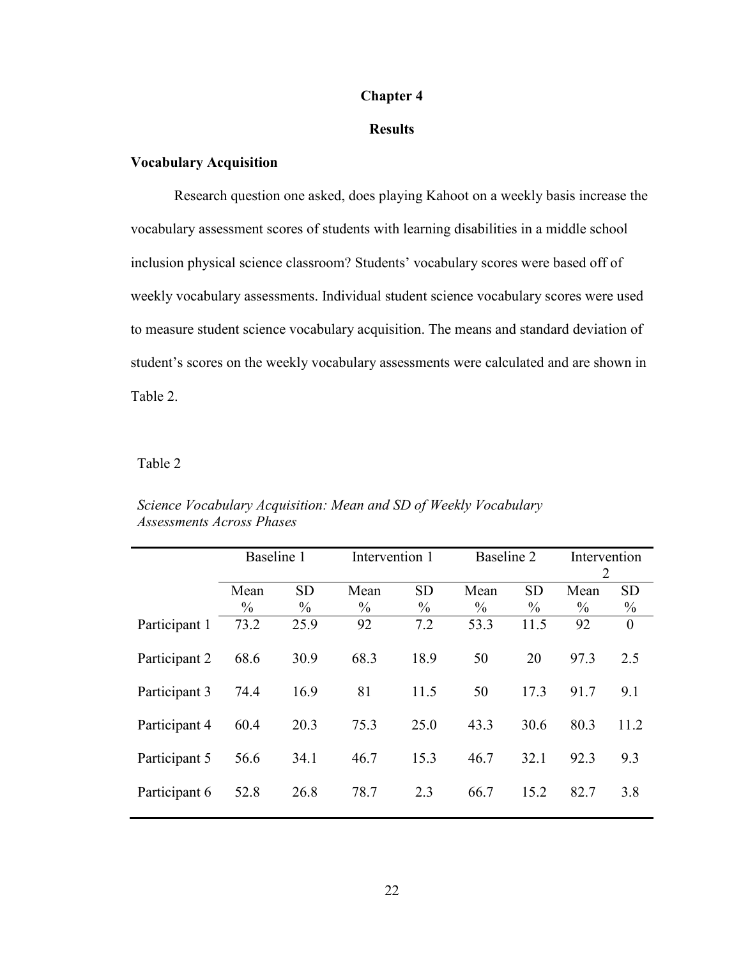#### **Chapter 4**

#### **Results**

## **Vocabulary Acquisition**

 Research question one asked, does playing Kahoot on a weekly basis increase the vocabulary assessment scores of students with learning disabilities in a middle school inclusion physical science classroom? Students' vocabulary scores were based off of weekly vocabulary assessments. Individual student science vocabulary scores were used to measure student science vocabulary acquisition. The means and standard deviation of student's scores on the weekly vocabulary assessments were calculated and are shown in Table 2.

## Table 2

|               | Baseline 1            |                            |              | Intervention 1             |                       | Baseline 2                 |                       | Intervention<br>2          |  |
|---------------|-----------------------|----------------------------|--------------|----------------------------|-----------------------|----------------------------|-----------------------|----------------------------|--|
|               | Mean<br>$\frac{0}{0}$ | <b>SD</b><br>$\frac{0}{0}$ | Mean<br>$\%$ | <b>SD</b><br>$\frac{0}{0}$ | Mean<br>$\frac{0}{0}$ | <b>SD</b><br>$\frac{0}{0}$ | Mean<br>$\frac{0}{0}$ | <b>SD</b><br>$\frac{0}{0}$ |  |
| Participant 1 | 73.2                  | 25.9                       | 92           | 7.2                        | 53.3                  | 11.5                       | 92                    | $\theta$                   |  |
| Participant 2 | 68.6                  | 30.9                       | 68.3         | 18.9                       | 50                    | 20                         | 97.3                  | 2.5                        |  |
| Participant 3 | 74.4                  | 16.9                       | 81           | 11.5                       | 50                    | 17.3                       | 91.7                  | 9.1                        |  |
| Participant 4 | 60.4                  | 20.3                       | 75.3         | 25.0                       | 43.3                  | 30.6                       | 80.3                  | 11.2                       |  |
| Participant 5 | 56.6                  | 34.1                       | 46.7         | 15.3                       | 46.7                  | 32.1                       | 92.3                  | 9.3                        |  |
| Participant 6 | 52.8                  | 26.8                       | 78.7         | 2.3                        | 66.7                  | 15.2                       | 82.7                  | 3.8                        |  |

*Science Vocabulary Acquisition: Mean and SD of Weekly Vocabulary Assessments Across Phases*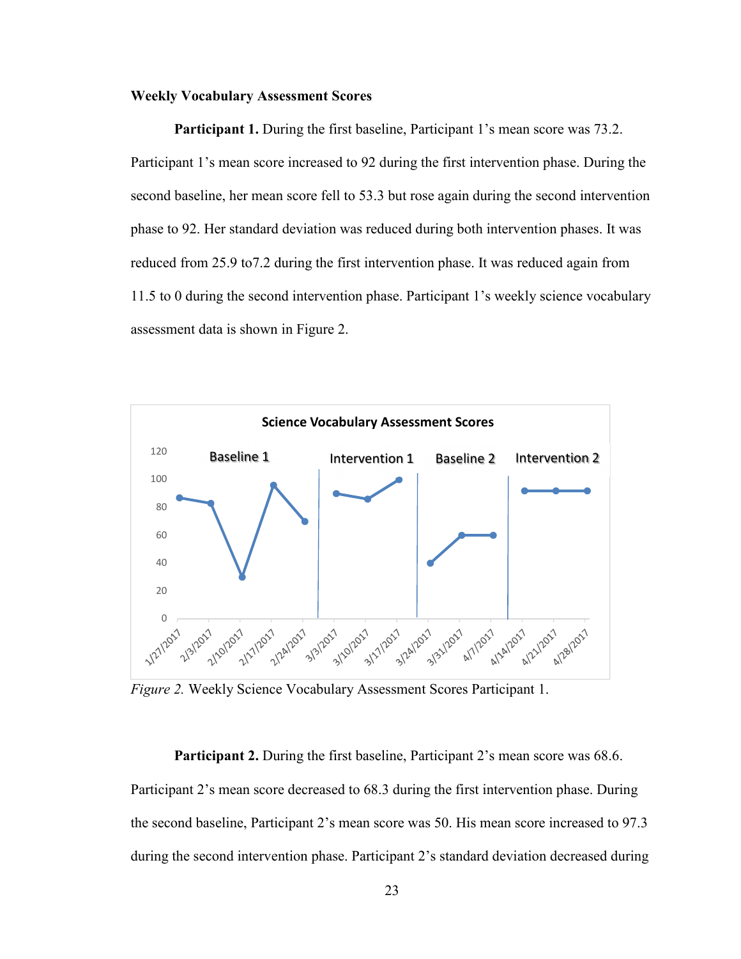#### **Weekly Vocabulary Assessment Scores**

**Participant 1.** During the first baseline, Participant 1's mean score was 73.2. Participant 1's mean score increased to 92 during the first intervention phase. During the second baseline, her mean score fell to 53.3 but rose again during the second intervention phase to 92. Her standard deviation was reduced during both intervention phases. It was reduced from 25.9 to7.2 during the first intervention phase. It was reduced again from 11.5 to 0 during the second intervention phase. Participant 1's weekly science vocabulary assessment data is shown in Figure 2.



*Figure 2.* Weekly Science Vocabulary Assessment Scores Participant 1.

**Participant 2.** During the first baseline, Participant 2's mean score was 68.6. Participant 2's mean score decreased to 68.3 during the first intervention phase. During the second baseline, Participant 2's mean score was 50. His mean score increased to 97.3 during the second intervention phase. Participant 2's standard deviation decreased during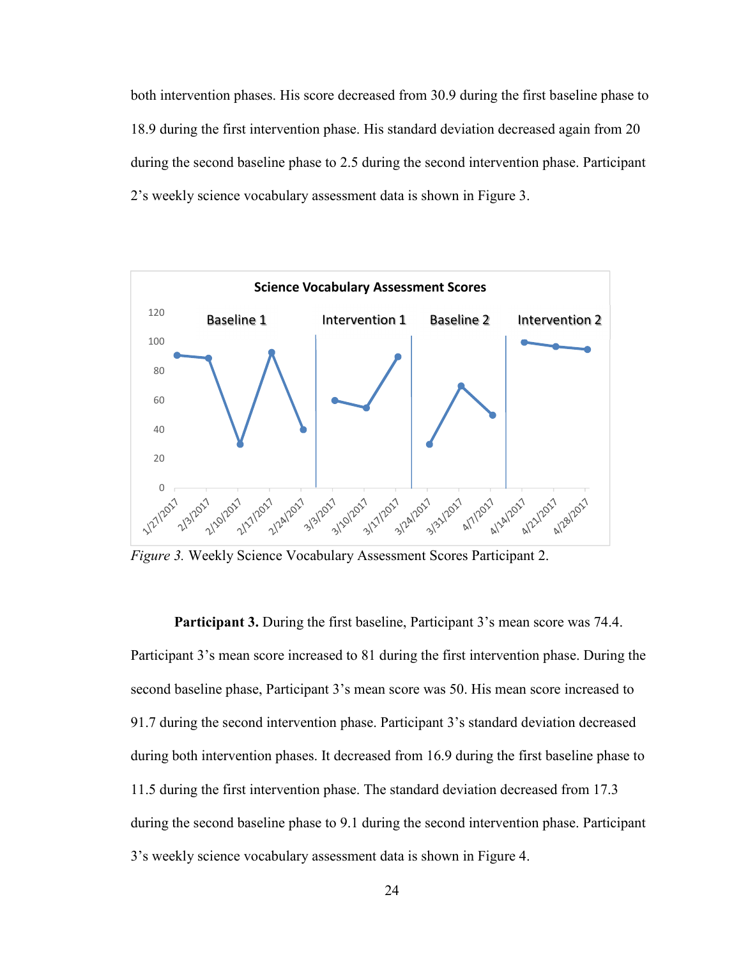both intervention phases. His score decreased from 30.9 during the first baseline phase to 18.9 during the first intervention phase. His standard deviation decreased again from 20 during the second baseline phase to 2.5 during the second intervention phase. Participant 2's weekly science vocabulary assessment data is shown in Figure 3.



*Figure 3.* Weekly Science Vocabulary Assessment Scores Participant 2.

**Participant 3.** During the first baseline, Participant 3's mean score was 74.4. Participant 3's mean score increased to 81 during the first intervention phase. During the second baseline phase, Participant 3's mean score was 50. His mean score increased to 91.7 during the second intervention phase. Participant 3's standard deviation decreased during both intervention phases. It decreased from 16.9 during the first baseline phase to 11.5 during the first intervention phase. The standard deviation decreased from 17.3 during the second baseline phase to 9.1 during the second intervention phase. Participant 3's weekly science vocabulary assessment data is shown in Figure 4.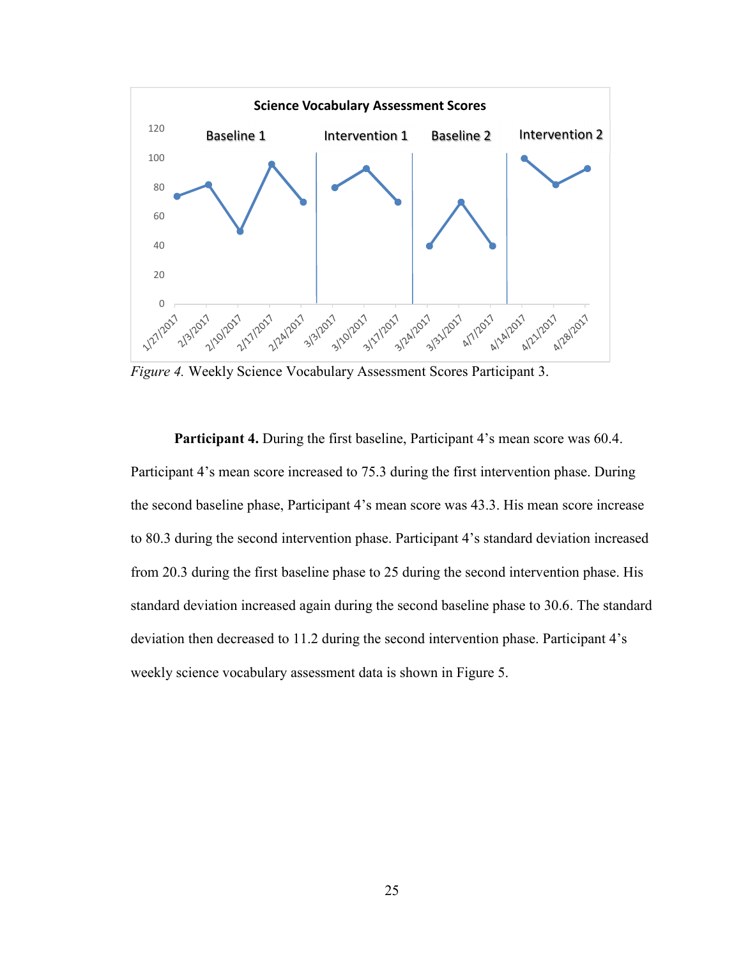

*Figure 4.* Weekly Science Vocabulary Assessment Scores Participant 3.

**Participant 4.** During the first baseline, Participant 4's mean score was 60.4. Participant 4's mean score increased to 75.3 during the first intervention phase. During the second baseline phase, Participant 4's mean score was 43.3. His mean score increase to 80.3 during the second intervention phase. Participant 4's standard deviation increased from 20.3 during the first baseline phase to 25 during the second intervention phase. His standard deviation increased again during the second baseline phase to 30.6. The standard deviation then decreased to 11.2 during the second intervention phase. Participant 4's weekly science vocabulary assessment data is shown in Figure 5.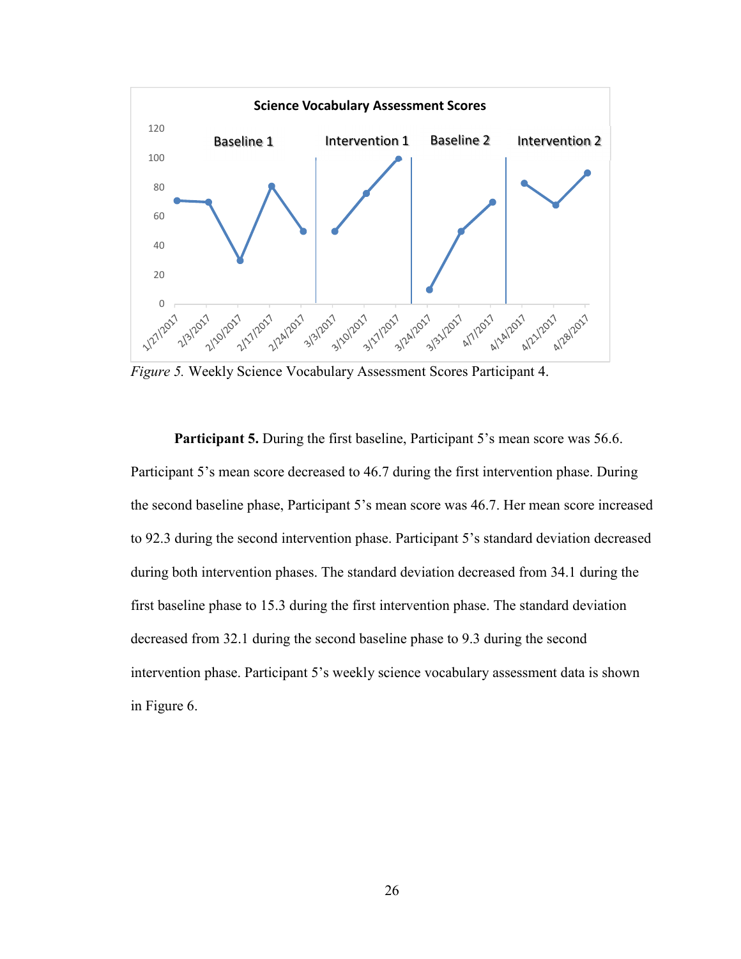

*Figure 5.* Weekly Science Vocabulary Assessment Scores Participant 4.

**Participant 5.** During the first baseline, Participant 5's mean score was 56.6. Participant 5's mean score decreased to 46.7 during the first intervention phase. During the second baseline phase, Participant 5's mean score was 46.7. Her mean score increased to 92.3 during the second intervention phase. Participant 5's standard deviation decreased during both intervention phases. The standard deviation decreased from 34.1 during the first baseline phase to 15.3 during the first intervention phase. The standard deviation decreased from 32.1 during the second baseline phase to 9.3 during the second intervention phase. Participant 5's weekly science vocabulary assessment data is shown in Figure 6.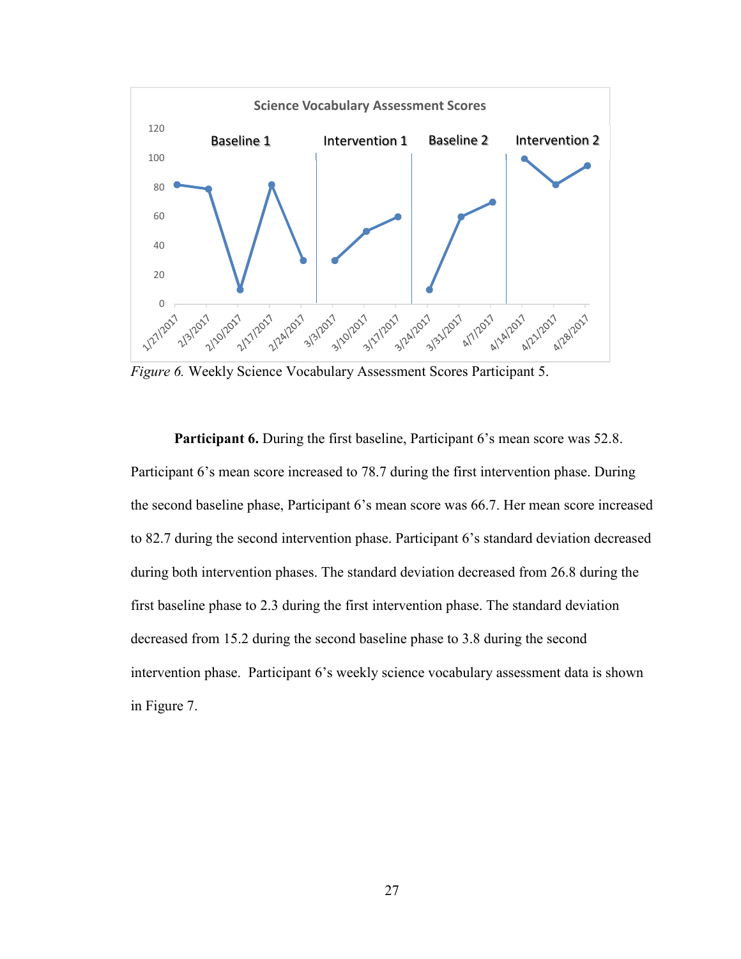

*Figure 6.* Weekly Science Vocabulary Assessment Scores Participant 5.

**Participant 6.** During the first baseline, Participant 6's mean score was 52.8. Participant 6's mean score increased to 78.7 during the first intervention phase. During the second baseline phase, Participant 6's mean score was 66.7. Her mean score increased to 82.7 during the second intervention phase. Participant 6's standard deviation decreased during both intervention phases. The standard deviation decreased from 26.8 during the first baseline phase to 2.3 during the first intervention phase. The standard deviation decreased from 15.2 during the second baseline phase to 3.8 during the second intervention phase. Participant 6's weekly science vocabulary assessment data is shown in Figure 7.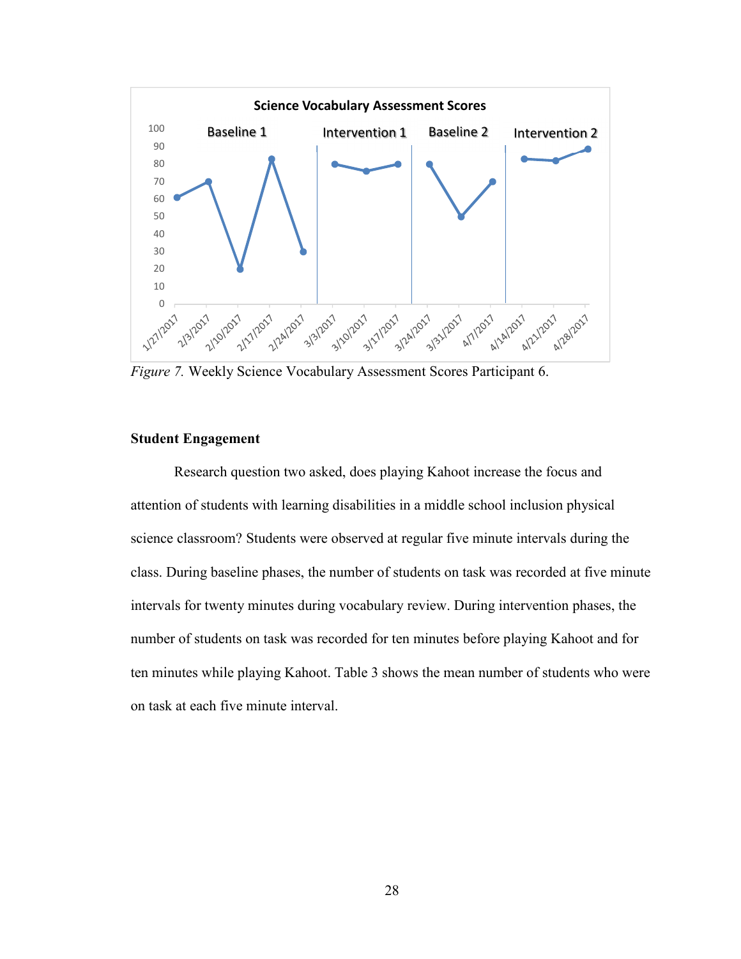

*Figure 7.* Weekly Science Vocabulary Assessment Scores Participant 6.

## **Student Engagement**

 Research question two asked, does playing Kahoot increase the focus and attention of students with learning disabilities in a middle school inclusion physical science classroom? Students were observed at regular five minute intervals during the class. During baseline phases, the number of students on task was recorded at five minute intervals for twenty minutes during vocabulary review. During intervention phases, the number of students on task was recorded for ten minutes before playing Kahoot and for ten minutes while playing Kahoot. Table 3 shows the mean number of students who were on task at each five minute interval.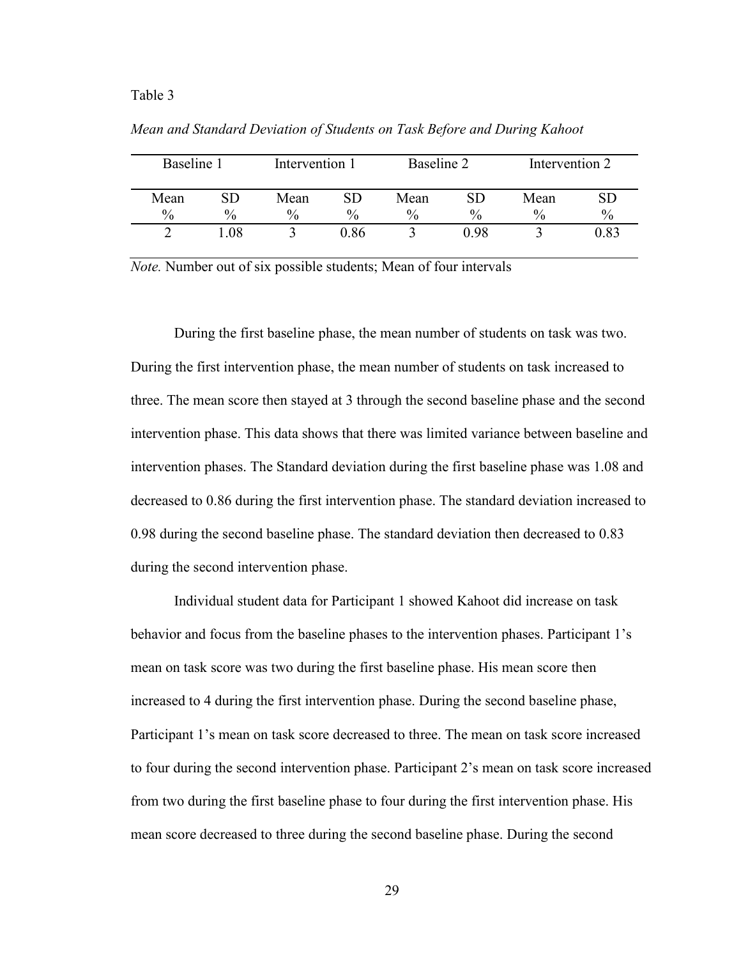#### Table 3

| Baseline 1 |      | Intervention 1 |      | Baseline 2 |               | Intervention 2 |           |
|------------|------|----------------|------|------------|---------------|----------------|-----------|
| Mean       | SD.  | Mean           | SD   | Mean       | SD            | Mean           | <b>SD</b> |
| $\%$       | $\%$ | $\frac{0}{0}$  | $\%$ | $\%$       | $\frac{0}{0}$ | $\frac{0}{0}$  | $\%$      |
|            | .08  |                | 0.86 |            | 0 98          |                | 0.83      |

*Mean and Standard Deviation of Students on Task Before and During Kahoot*

*Note.* Number out of six possible students; Mean of four intervals

 During the first baseline phase, the mean number of students on task was two. During the first intervention phase, the mean number of students on task increased to three. The mean score then stayed at 3 through the second baseline phase and the second intervention phase. This data shows that there was limited variance between baseline and intervention phases. The Standard deviation during the first baseline phase was 1.08 and decreased to 0.86 during the first intervention phase. The standard deviation increased to 0.98 during the second baseline phase. The standard deviation then decreased to 0.83 during the second intervention phase.

 Individual student data for Participant 1 showed Kahoot did increase on task behavior and focus from the baseline phases to the intervention phases. Participant 1's mean on task score was two during the first baseline phase. His mean score then increased to 4 during the first intervention phase. During the second baseline phase, Participant 1's mean on task score decreased to three. The mean on task score increased to four during the second intervention phase. Participant 2's mean on task score increased from two during the first baseline phase to four during the first intervention phase. His mean score decreased to three during the second baseline phase. During the second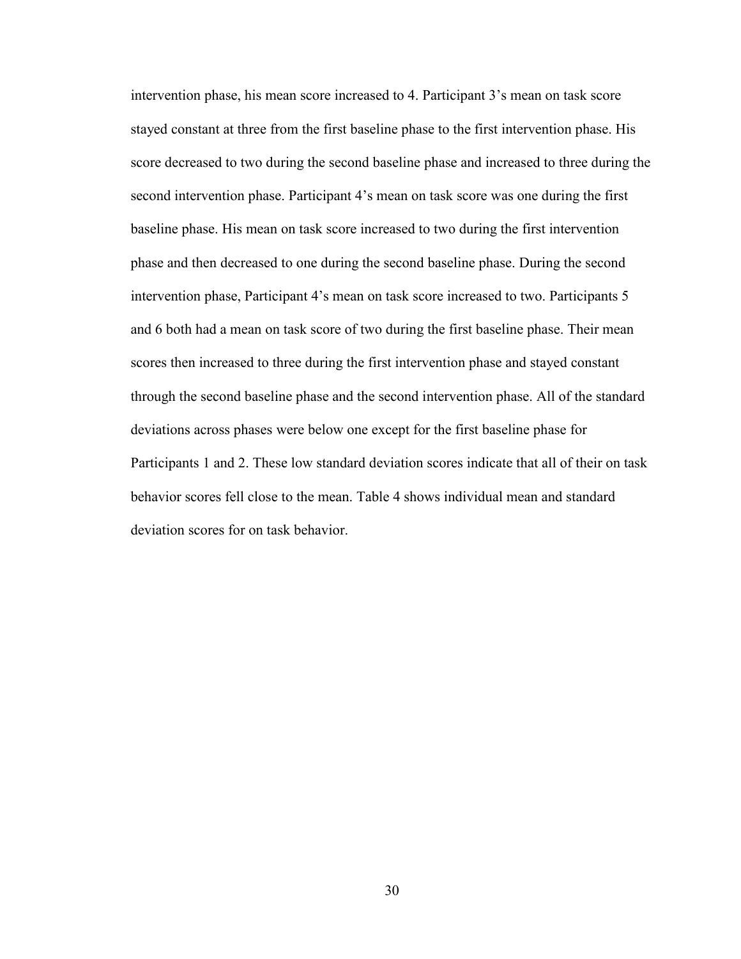intervention phase, his mean score increased to 4. Participant 3's mean on task score stayed constant at three from the first baseline phase to the first intervention phase. His score decreased to two during the second baseline phase and increased to three during the second intervention phase. Participant 4's mean on task score was one during the first baseline phase. His mean on task score increased to two during the first intervention phase and then decreased to one during the second baseline phase. During the second intervention phase, Participant 4's mean on task score increased to two. Participants 5 and 6 both had a mean on task score of two during the first baseline phase. Their mean scores then increased to three during the first intervention phase and stayed constant through the second baseline phase and the second intervention phase. All of the standard deviations across phases were below one except for the first baseline phase for Participants 1 and 2. These low standard deviation scores indicate that all of their on task behavior scores fell close to the mean. Table 4 shows individual mean and standard deviation scores for on task behavior.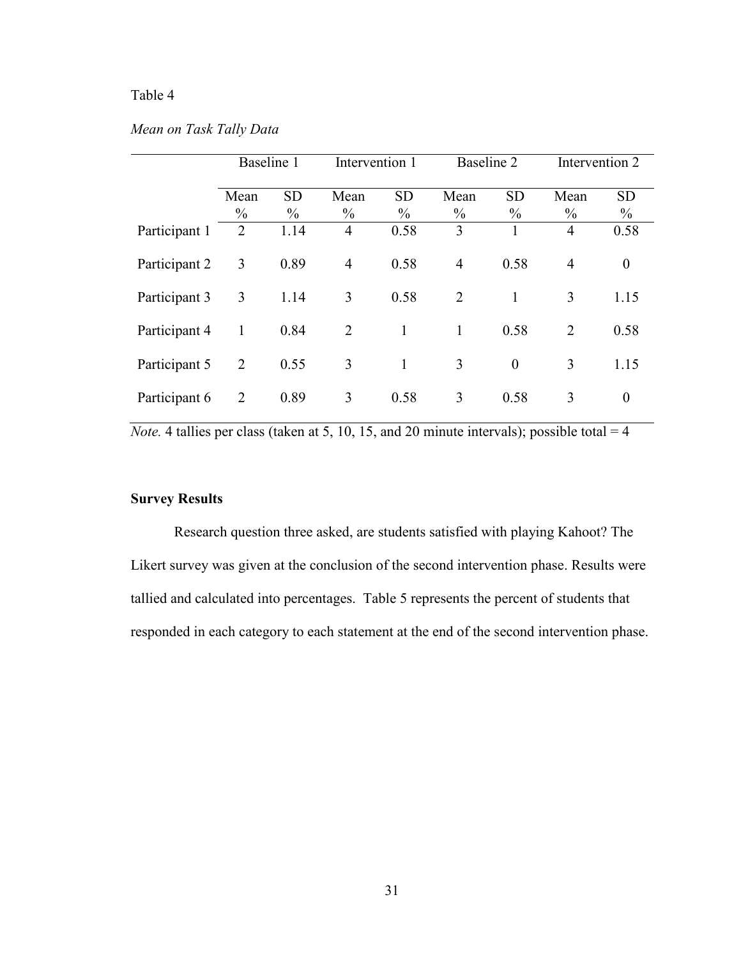## Table 4

## *Mean on Task Tally Data*

|               | Baseline 1            |                   |                       | Intervention 1             |                       | Baseline 2                 |                       | Intervention 2    |  |
|---------------|-----------------------|-------------------|-----------------------|----------------------------|-----------------------|----------------------------|-----------------------|-------------------|--|
|               | Mean<br>$\frac{0}{0}$ | <b>SD</b><br>$\%$ | Mean<br>$\frac{0}{0}$ | <b>SD</b><br>$\frac{0}{0}$ | Mean<br>$\frac{0}{0}$ | <b>SD</b><br>$\frac{0}{0}$ | Mean<br>$\frac{0}{0}$ | <b>SD</b><br>$\%$ |  |
| Participant 1 | 2                     | 1.14              | $\overline{4}$        | 0.58                       | 3                     |                            | $\overline{4}$        | 0.58              |  |
| Participant 2 | 3                     | 0.89              | $\overline{4}$        | 0.58                       | $\overline{4}$        | 0.58                       | $\overline{4}$        | $\boldsymbol{0}$  |  |
| Participant 3 | 3                     | 1.14              | 3                     | 0.58                       | $\overline{2}$        | 1                          | 3                     | 1.15              |  |
| Participant 4 | 1                     | 0.84              | $\overline{2}$        | $\mathbf{1}$               | 1                     | 0.58                       | $\overline{2}$        | 0.58              |  |
| Participant 5 | $\overline{2}$        | 0.55              | 3                     | $\mathbf{1}$               | 3                     | $\boldsymbol{0}$           | 3                     | 1.15              |  |
| Participant 6 | $\overline{2}$        | 0.89              | 3                     | 0.58                       | 3                     | 0.58                       | 3                     | $\boldsymbol{0}$  |  |

*Note.* 4 tallies per class (taken at 5, 10, 15, and 20 minute intervals); possible total = 4

## **Survey Results**

 Research question three asked, are students satisfied with playing Kahoot? The Likert survey was given at the conclusion of the second intervention phase. Results were tallied and calculated into percentages. Table 5 represents the percent of students that responded in each category to each statement at the end of the second intervention phase.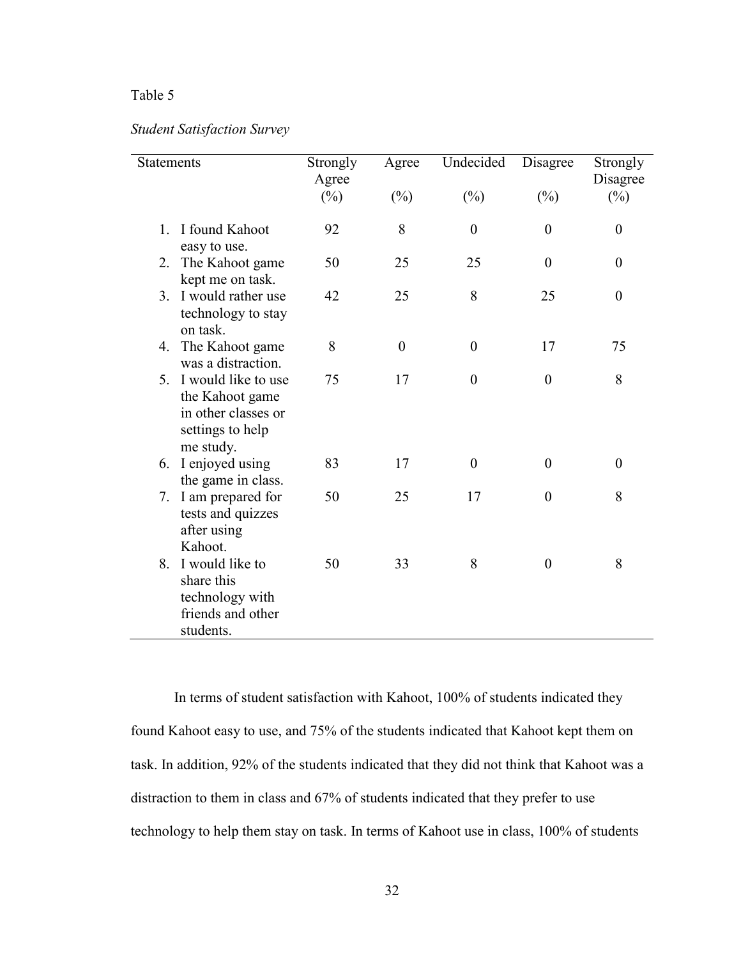## Table 5

L.

## *Student Satisfaction Survey*

| Statements     |                                                                                                | Strongly<br>Agree | Agree            | Undecided        | Disagree         | Strongly<br>Disagree |
|----------------|------------------------------------------------------------------------------------------------|-------------------|------------------|------------------|------------------|----------------------|
|                |                                                                                                | $(\%)$            | $(\%)$           | $(\%)$           | $(\%)$           | $(\%)$               |
| $\mathbf{1}$ . | I found Kahoot<br>easy to use.                                                                 | 92                | 8                | $\boldsymbol{0}$ | $\boldsymbol{0}$ | $\boldsymbol{0}$     |
| 2.             | The Kahoot game<br>kept me on task.                                                            | 50                | 25               | 25               | $\overline{0}$   | $\theta$             |
| $3_{-}$        | I would rather use<br>technology to stay<br>on task.                                           | 42                | 25               | 8                | 25               | $\boldsymbol{0}$     |
| 4.             | The Kahoot game<br>was a distraction.                                                          | 8                 | $\boldsymbol{0}$ | $\boldsymbol{0}$ | 17               | 75                   |
| $5_{-}$        | I would like to use<br>the Kahoot game<br>in other classes or<br>settings to help<br>me study. | 75                | 17               | $\theta$         | $\overline{0}$   | 8                    |
| 6.             | I enjoyed using<br>the game in class.                                                          | 83                | 17               | $\boldsymbol{0}$ | $\boldsymbol{0}$ | $\boldsymbol{0}$     |
| 7.             | I am prepared for<br>tests and quizzes<br>after using<br>Kahoot.                               | 50                | 25               | 17               | $\overline{0}$   | 8                    |
| 8.             | I would like to<br>share this<br>technology with<br>friends and other<br>students.             | 50                | 33               | 8                | $\overline{0}$   | 8                    |

 In terms of student satisfaction with Kahoot, 100% of students indicated they found Kahoot easy to use, and 75% of the students indicated that Kahoot kept them on task. In addition, 92% of the students indicated that they did not think that Kahoot was a distraction to them in class and 67% of students indicated that they prefer to use technology to help them stay on task. In terms of Kahoot use in class, 100% of students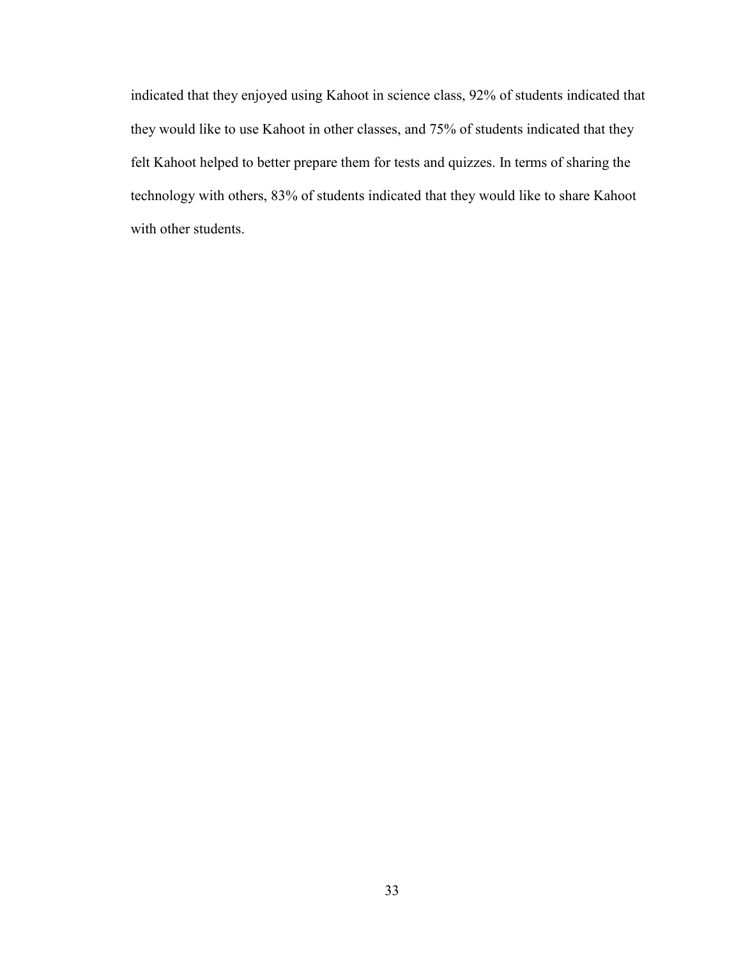indicated that they enjoyed using Kahoot in science class, 92% of students indicated that they would like to use Kahoot in other classes, and 75% of students indicated that they felt Kahoot helped to better prepare them for tests and quizzes. In terms of sharing the technology with others, 83% of students indicated that they would like to share Kahoot with other students.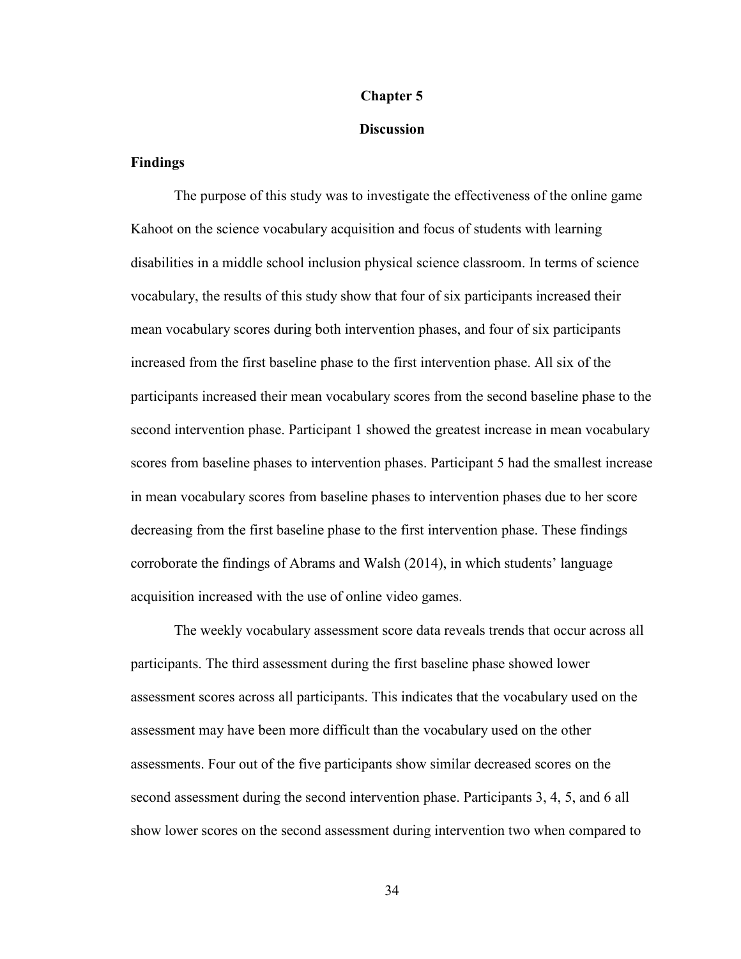### **Chapter 5**

#### **Discussion**

#### **Findings**

 The purpose of this study was to investigate the effectiveness of the online game Kahoot on the science vocabulary acquisition and focus of students with learning disabilities in a middle school inclusion physical science classroom. In terms of science vocabulary, the results of this study show that four of six participants increased their mean vocabulary scores during both intervention phases, and four of six participants increased from the first baseline phase to the first intervention phase. All six of the participants increased their mean vocabulary scores from the second baseline phase to the second intervention phase. Participant 1 showed the greatest increase in mean vocabulary scores from baseline phases to intervention phases. Participant 5 had the smallest increase in mean vocabulary scores from baseline phases to intervention phases due to her score decreasing from the first baseline phase to the first intervention phase. These findings corroborate the findings of Abrams and Walsh (2014), in which students' language acquisition increased with the use of online video games.

 The weekly vocabulary assessment score data reveals trends that occur across all participants. The third assessment during the first baseline phase showed lower assessment scores across all participants. This indicates that the vocabulary used on the assessment may have been more difficult than the vocabulary used on the other assessments. Four out of the five participants show similar decreased scores on the second assessment during the second intervention phase. Participants 3, 4, 5, and 6 all show lower scores on the second assessment during intervention two when compared to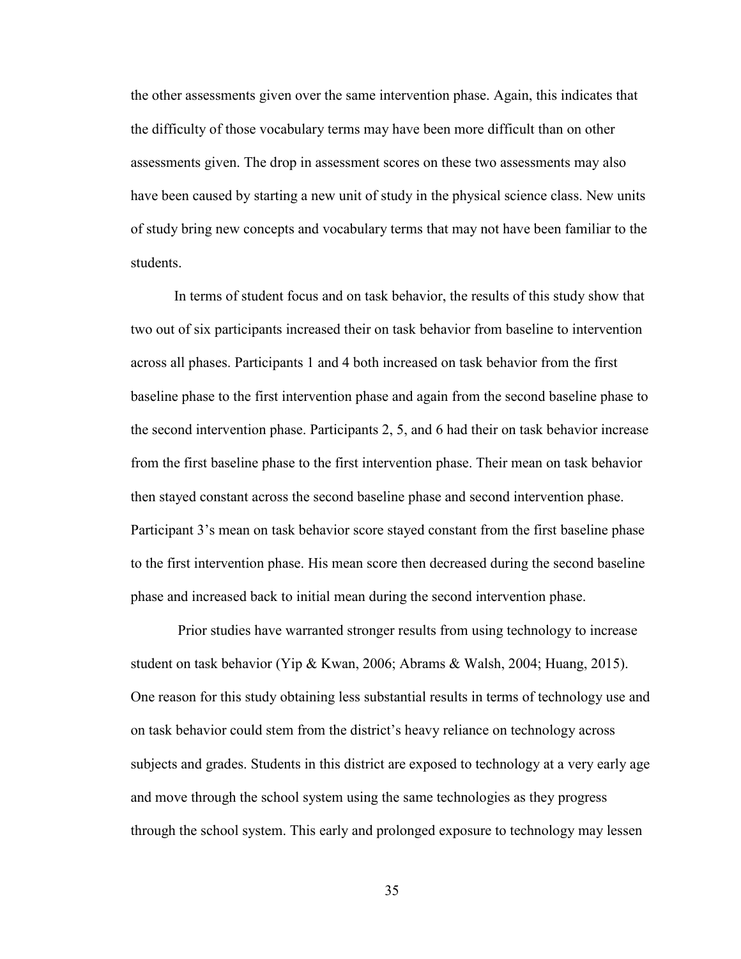the other assessments given over the same intervention phase. Again, this indicates that the difficulty of those vocabulary terms may have been more difficult than on other assessments given. The drop in assessment scores on these two assessments may also have been caused by starting a new unit of study in the physical science class. New units of study bring new concepts and vocabulary terms that may not have been familiar to the students.

 In terms of student focus and on task behavior, the results of this study show that two out of six participants increased their on task behavior from baseline to intervention across all phases. Participants 1 and 4 both increased on task behavior from the first baseline phase to the first intervention phase and again from the second baseline phase to the second intervention phase. Participants 2, 5, and 6 had their on task behavior increase from the first baseline phase to the first intervention phase. Their mean on task behavior then stayed constant across the second baseline phase and second intervention phase. Participant 3's mean on task behavior score stayed constant from the first baseline phase to the first intervention phase. His mean score then decreased during the second baseline phase and increased back to initial mean during the second intervention phase.

 Prior studies have warranted stronger results from using technology to increase student on task behavior (Yip & Kwan, 2006; Abrams & Walsh, 2004; Huang, 2015). One reason for this study obtaining less substantial results in terms of technology use and on task behavior could stem from the district's heavy reliance on technology across subjects and grades. Students in this district are exposed to technology at a very early age and move through the school system using the same technologies as they progress through the school system. This early and prolonged exposure to technology may lessen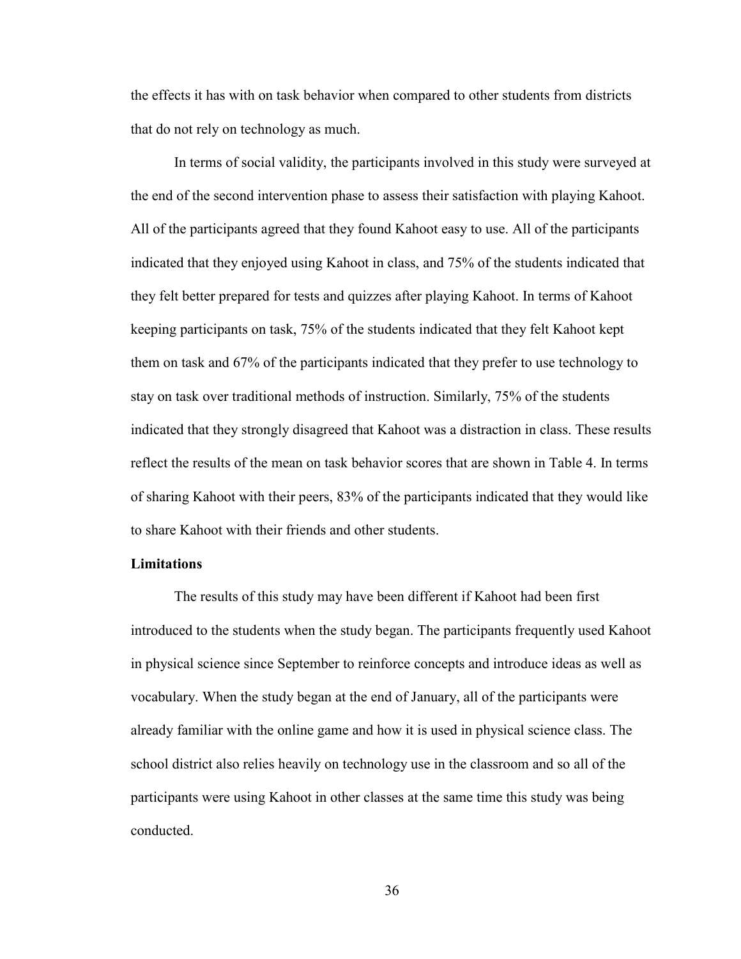the effects it has with on task behavior when compared to other students from districts that do not rely on technology as much.

 In terms of social validity, the participants involved in this study were surveyed at the end of the second intervention phase to assess their satisfaction with playing Kahoot. All of the participants agreed that they found Kahoot easy to use. All of the participants indicated that they enjoyed using Kahoot in class, and 75% of the students indicated that they felt better prepared for tests and quizzes after playing Kahoot. In terms of Kahoot keeping participants on task, 75% of the students indicated that they felt Kahoot kept them on task and 67% of the participants indicated that they prefer to use technology to stay on task over traditional methods of instruction. Similarly, 75% of the students indicated that they strongly disagreed that Kahoot was a distraction in class. These results reflect the results of the mean on task behavior scores that are shown in Table 4. In terms of sharing Kahoot with their peers, 83% of the participants indicated that they would like to share Kahoot with their friends and other students.

#### **Limitations**

 The results of this study may have been different if Kahoot had been first introduced to the students when the study began. The participants frequently used Kahoot in physical science since September to reinforce concepts and introduce ideas as well as vocabulary. When the study began at the end of January, all of the participants were already familiar with the online game and how it is used in physical science class. The school district also relies heavily on technology use in the classroom and so all of the participants were using Kahoot in other classes at the same time this study was being conducted.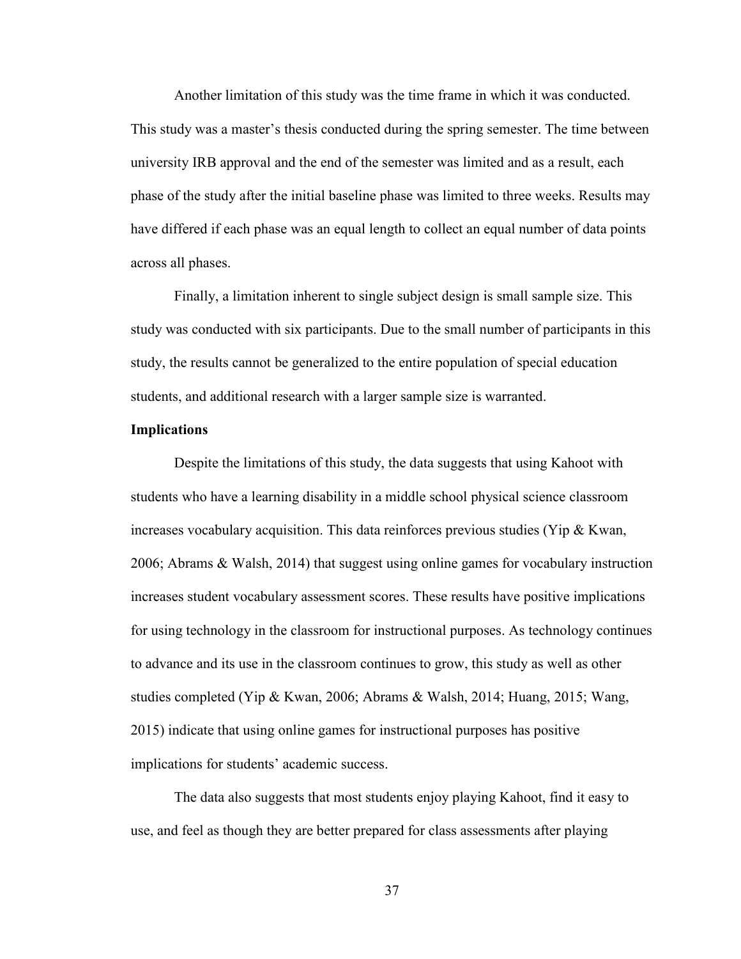Another limitation of this study was the time frame in which it was conducted. This study was a master's thesis conducted during the spring semester. The time between university IRB approval and the end of the semester was limited and as a result, each phase of the study after the initial baseline phase was limited to three weeks. Results may have differed if each phase was an equal length to collect an equal number of data points across all phases.

 Finally, a limitation inherent to single subject design is small sample size. This study was conducted with six participants. Due to the small number of participants in this study, the results cannot be generalized to the entire population of special education students, and additional research with a larger sample size is warranted.

#### **Implications**

 Despite the limitations of this study, the data suggests that using Kahoot with students who have a learning disability in a middle school physical science classroom increases vocabulary acquisition. This data reinforces previous studies (Yip & Kwan, 2006; Abrams & Walsh, 2014) that suggest using online games for vocabulary instruction increases student vocabulary assessment scores. These results have positive implications for using technology in the classroom for instructional purposes. As technology continues to advance and its use in the classroom continues to grow, this study as well as other studies completed (Yip & Kwan, 2006; Abrams & Walsh, 2014; Huang, 2015; Wang, 2015) indicate that using online games for instructional purposes has positive implications for students' academic success.

 The data also suggests that most students enjoy playing Kahoot, find it easy to use, and feel as though they are better prepared for class assessments after playing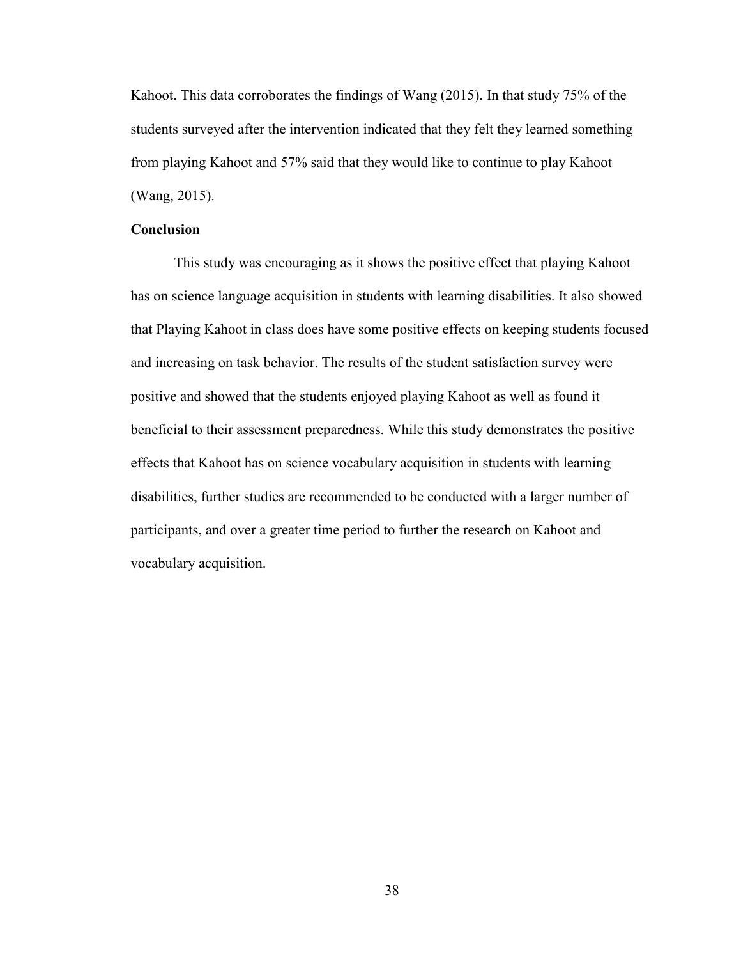Kahoot. This data corroborates the findings of Wang (2015). In that study 75% of the students surveyed after the intervention indicated that they felt they learned something from playing Kahoot and 57% said that they would like to continue to play Kahoot (Wang, 2015).

#### **Conclusion**

 This study was encouraging as it shows the positive effect that playing Kahoot has on science language acquisition in students with learning disabilities. It also showed that Playing Kahoot in class does have some positive effects on keeping students focused and increasing on task behavior. The results of the student satisfaction survey were positive and showed that the students enjoyed playing Kahoot as well as found it beneficial to their assessment preparedness. While this study demonstrates the positive effects that Kahoot has on science vocabulary acquisition in students with learning disabilities, further studies are recommended to be conducted with a larger number of participants, and over a greater time period to further the research on Kahoot and vocabulary acquisition.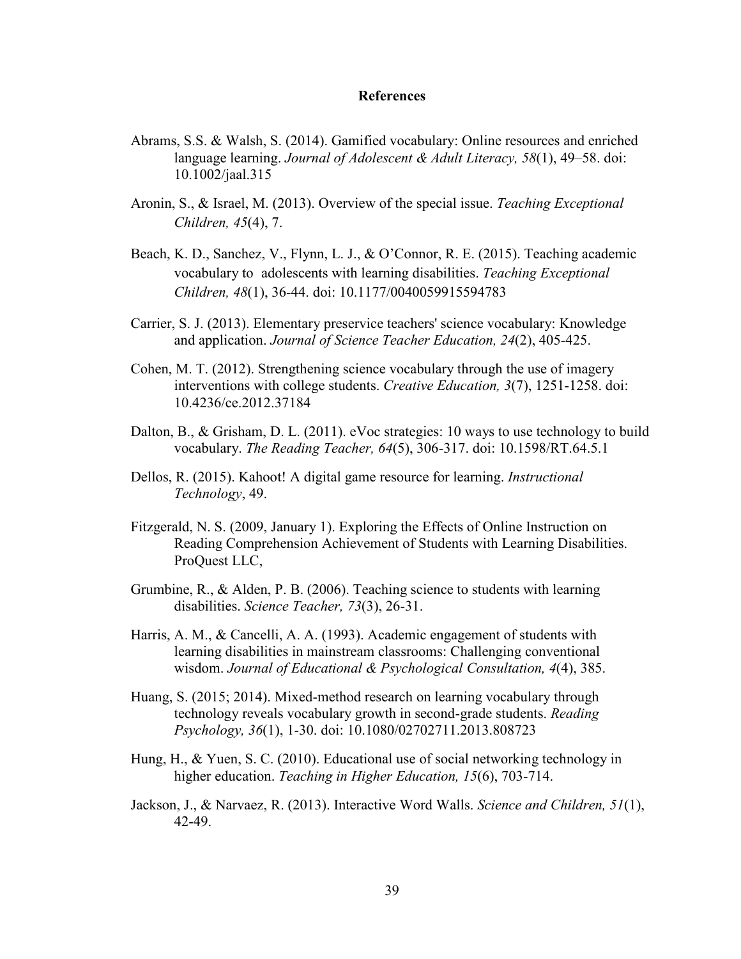#### **References**

- Abrams, S.S. & Walsh, S. (2014). Gamified vocabulary: Online resources and enriched language learning. *Journal of Adolescent & Adult Literacy, 58*(1), 49–58. doi: 10.1002/jaal.315
- Aronin, S., & Israel, M. (2013). Overview of the special issue. *Teaching Exceptional Children, 45*(4), 7.
- Beach, K. D., Sanchez, V., Flynn, L. J., & O'Connor, R. E. (2015). Teaching academic vocabulary to adolescents with learning disabilities. *Teaching Exceptional Children, 48*(1), 36-44. doi: 10.1177/0040059915594783
- Carrier, S. J. (2013). Elementary preservice teachers' science vocabulary: Knowledge and application. *Journal of Science Teacher Education, 24*(2), 405-425.
- Cohen, M. T. (2012). Strengthening science vocabulary through the use of imagery interventions with college students. *Creative Education, 3*(7), 1251-1258. doi: 10.4236/ce.2012.37184
- Dalton, B., & Grisham, D. L. (2011). eVoc strategies: 10 ways to use technology to build vocabulary. *The Reading Teacher, 64*(5), 306-317. doi: 10.1598/RT.64.5.1
- Dellos, R. (2015). Kahoot! A digital game resource for learning. *Instructional Technology*, 49.
- Fitzgerald, N. S. (2009, January 1). Exploring the Effects of Online Instruction on Reading Comprehension Achievement of Students with Learning Disabilities. ProQuest LLC,
- Grumbine, R., & Alden, P. B. (2006). Teaching science to students with learning disabilities. *Science Teacher, 73*(3), 26-31.
- Harris, A. M., & Cancelli, A. A. (1993). Academic engagement of students with learning disabilities in mainstream classrooms: Challenging conventional wisdom. *Journal of Educational & Psychological Consultation, 4*(4), 385.
- Huang, S. (2015; 2014). Mixed-method research on learning vocabulary through technology reveals vocabulary growth in second-grade students. *Reading Psychology, 36*(1), 1-30. doi: 10.1080/02702711.2013.808723
- Hung, H., & Yuen, S. C. (2010). Educational use of social networking technology in higher education. *Teaching in Higher Education, 15*(6), 703-714.
- Jackson, J., & Narvaez, R. (2013). Interactive Word Walls. *Science and Children, 51*(1), 42-49.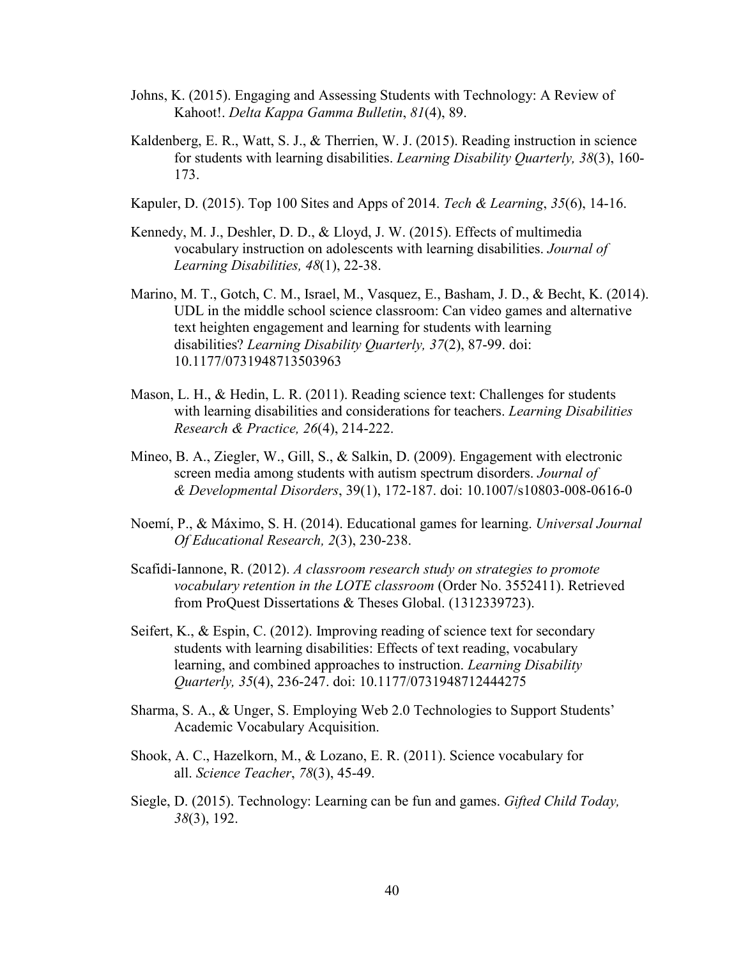- Johns, K. (2015). Engaging and Assessing Students with Technology: A Review of Kahoot!. *Delta Kappa Gamma Bulletin*, *81*(4), 89.
- Kaldenberg, E. R., Watt, S. J., & Therrien, W. J. (2015). Reading instruction in science for students with learning disabilities. *Learning Disability Quarterly, 38*(3), 160- 173.
- Kapuler, D. (2015). Top 100 Sites and Apps of 2014. *Tech & Learning*, *35*(6), 14-16.
- Kennedy, M. J., Deshler, D. D., & Lloyd, J. W. (2015). Effects of multimedia vocabulary instruction on adolescents with learning disabilities. *Journal of Learning Disabilities, 48*(1), 22-38.
- Marino, M. T., Gotch, C. M., Israel, M., Vasquez, E., Basham, J. D., & Becht, K. (2014). UDL in the middle school science classroom: Can video games and alternative text heighten engagement and learning for students with learning disabilities? *Learning Disability Quarterly, 37*(2), 87-99. doi: 10.1177/0731948713503963
- Mason, L. H., & Hedin, L. R. (2011). Reading science text: Challenges for students with learning disabilities and considerations for teachers. *Learning Disabilities Research & Practice, 26*(4), 214-222.
- Mineo, B. A., Ziegler, W., Gill, S., & Salkin, D. (2009). Engagement with electronic screen media among students with autism spectrum disorders. *Journal of & Developmental Disorders*, 39(1), 172-187. doi: 10.1007/s10803-008-0616-0
- Noemí, P., & Máximo, S. H. (2014). Educational games for learning. *Universal Journal Of Educational Research, 2*(3), 230-238.
- Scafidi-Iannone, R. (2012). *A classroom research study on strategies to promote vocabulary retention in the LOTE classroom* (Order No. 3552411). Retrieved from ProQuest Dissertations & Theses Global. (1312339723).
- Seifert, K., & Espin, C. (2012). Improving reading of science text for secondary students with learning disabilities: Effects of text reading, vocabulary learning, and combined approaches to instruction. *Learning Disability Quarterly, 35*(4), 236-247. doi: 10.1177/0731948712444275
- Sharma, S. A., & Unger, S. Employing Web 2.0 Technologies to Support Students' Academic Vocabulary Acquisition.
- Shook, A. C., Hazelkorn, M., & Lozano, E. R. (2011). Science vocabulary for all. *Science Teacher*, *78*(3), 45-49.
- Siegle, D. (2015). Technology: Learning can be fun and games. *Gifted Child Today, 38*(3), 192.